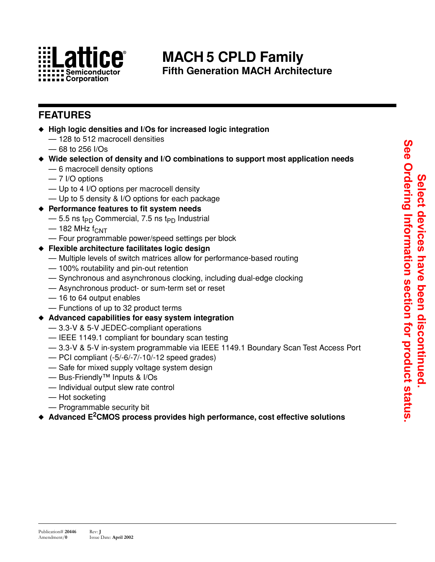

## **MACH 5 CPLD Family Fifth Generation MACH Architecture**

## **FEATURES**

- ◆ **High logic densities and I/Os for increased logic integration**
	- 128 to 512 macrocell densities
	- 68 to 256 I/Os
- ◆ **Wide selection of density and I/O combinations to support most application needs**
	- 6 macrocell density options
	- 7 I/O options
	- Up to 4 I/O options per macrocell density
	- Up to 5 density & I/O options for each package

#### ◆ **Performance features to fit system needs**

- $-$  5.5 ns t<sub>PD</sub> Commercial, 7.5 ns t<sub>PD</sub> Industrial
- $-$  182 MHz  $f_{CNT}$
- Four programmable power/speed settings per block
- ◆ **Flexible architecture facilitates logic design**
	- Multiple levels of switch matrices allow for performance-based routing
	- 100% routability and pin-out retention
	- Synchronous and asynchronous clocking, including dual-edge clocking
	- Asynchronous product- or sum-term set or reset
	- 16 to 64 output enables
	- Functions of up to 32 product terms
- ◆ **Advanced capabilities for easy system integration**
	- 3.3-V & 5-V JEDEC-compliant operations
	- IEEE 1149.1 compliant for boundary scan testing
	- 3.3-V & 5-V in-system programmable via IEEE 1149.1 Boundary Scan Test Access Port
	- PCI compliant (-5/-6/-7/-10/-12 speed grades)
	- Safe for mixed supply voltage system design
	- Bus-Friendly™ Inputs & I/Os
	- Individual output slew rate control
	- Hot socketing
	- Programmable security bit
- ◆ **Advanced E2CMOS process provides high performance, cost effective solutions**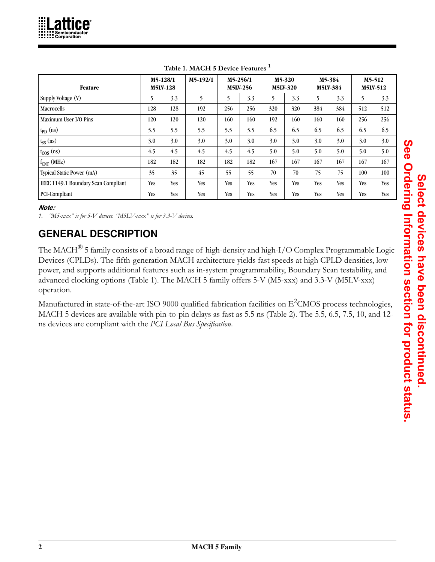<span id="page-1-0"></span>

| Feature                             |     | M5-128/1<br><b>M5LV-128</b> | M5-192/1 |     | M5-256/1<br>M5LV-256 |            | M5-320<br><b>M5LV-320</b> |     | M5-384<br>M5LV-384 |     | M5-512<br>M5LV-512 |
|-------------------------------------|-----|-----------------------------|----------|-----|----------------------|------------|---------------------------|-----|--------------------|-----|--------------------|
| Supply Voltage (V)                  |     | 3.3                         | 5        | 5   | 3.3                  | 5          | 3.3                       | 5   | 3.3                | 5.  | 3.3                |
| Macrocells                          | 128 | 128                         | 192      | 256 | 256                  | 320        | 320                       | 384 | 384                | 512 | 512                |
| Maximum User I/O Pins               | 120 | 120                         | 120      | 160 | 160                  | 192        | 160                       | 160 | 160                | 256 | 256                |
| $\mathbf{t}_{\text{PD}}$ (ns)       | 5.5 | 5.5                         | 5.5      | 5.5 | 5.5                  | 6.5        | 6.5                       | 6.5 | 6.5                | 6.5 | 6.5                |
| $t_{SS}$ (ns)                       | 3.0 | 3.0                         | 3.0      | 3.0 | 3.0                  | 3.0        | 3.0                       | 3.0 | 3.0                | 3.0 | 3.0                |
| $t_{\text{COS}}$ (ns)               | 4.5 | 4.5                         | 4.5      | 4.5 | 4.5                  | 5.0        | 5.0                       | 5.0 | 5.0                | 5.0 | 5.0                |
| $f_{\text{CNT}}$ (MHz)              | 182 | 182                         | 182      | 182 | 182                  | 167        | 167                       | 167 | 167                | 167 | 167                |
| Typical Static Power (mA)           | 35  | 35                          | 45       | 55  | 55                   | 70         | 70                        | 75  | 75                 | 100 | 100                |
| IEEE 1149.1 Boundary Scan Compliant | Yes | Yes                         | Yes      | Yes | Yes                  | <b>Yes</b> | Yes                       | Yes | <b>Yes</b>         | Yes | Yes                |
| PCI-Compliant                       | Yes | Yes                         | Yes      | Yes | Yes                  | Yes        | Yes                       | Yes | <b>Yes</b>         | Yes | <b>Yes</b>         |

**Table 1. MACH 5 Device Features 1**

#### *Note:*

*1. "M5-xxx" is for 5-V devices. "M5LV-xxx" is for 3.3-V devices.*

# **GENERAL DESCRIPTION**

The MACH® 5 family consists of a broad range of high-density and high-I/O Complex Programmable Logic Devices (CPLDs). The fifth-generation MACH architecture yields fast speeds at high CPLD densities, low power, and supports additional features such as in-system programmability, Boundary Scan testability, and advanced clocking options (Table [1\)](#page-1-0). The MACH 5 family offers 5-V (M5-xxx) and 3.3-V (M5LV-xxx) operation.

Manufactured in state-of-the-art ISO 9000 qualified fabrication facilities on  $\rm E^2CMOS$  process technologies, MACH 5 devices are available with pin-to-pin delays as fast as 5.5 ns (Table [2](#page-2-0)). The 5.5, 6.5, 7.5, 10, and 12 ns devices are compliant with the *PCI Local Bus Specification*.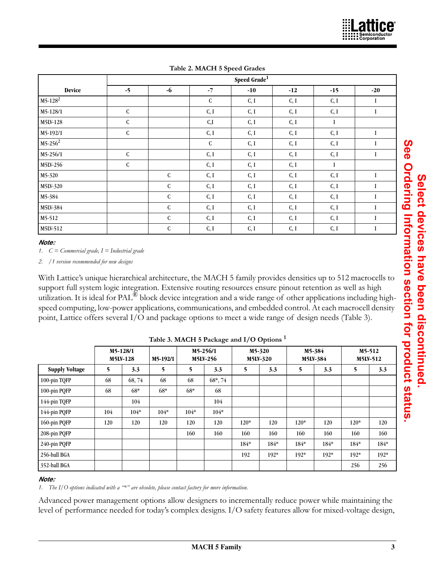<span id="page-2-0"></span>

|               |             | Speed Grade <sup>1</sup> |             |       |       |          |          |  |  |
|---------------|-------------|--------------------------|-------------|-------|-------|----------|----------|--|--|
| <b>Device</b> | $-5$        | $-6$                     | $-7$        | $-10$ | $-12$ | $-15$    | $-20$    |  |  |
| $M5-128^2$    |             |                          | ${\bf C}$   | C, I  | C, I  | C, I     | $\bf{I}$ |  |  |
| M5-128/1      | ${\bf C}$   |                          | C, I        | C, I  | C, I  | C, I     | I        |  |  |
| M5LV-128      | ${\bf C}$   |                          | C,I         | C, I  | C, I  | $\bf{I}$ |          |  |  |
| M5-192/1      | $\mathbf C$ |                          | C, I        | C, I  | C, I  | C, I     | I        |  |  |
| $M5-256^2$    |             |                          | $\mathbf C$ | C, I  | C, I  | C, I     | L        |  |  |
| M5-256/1      | $\mathbf C$ |                          | C, I        | C, I  | C, I  | C, I     | I        |  |  |
| M5LV-256      | $\mathbf C$ |                          | C, I        | C, I  | C, I  | <b>I</b> |          |  |  |
| M5-320        |             | $\mathsf{C}$             | C, I        | C, I  | C, I  | C, I     | $\bf{I}$ |  |  |
| M5LV-320      |             | $\mathbf C$              | C, I        | C, I  | C, I  | C, I     | I        |  |  |
| M5-384        |             | $\mathsf{C}$             | C, I        | C, I  | C, I  | C, I     | I        |  |  |
| M5LV-384      |             | $\mathbf C$              | C, I        | C, I  | C, I  | C, I     | I        |  |  |
| M5-512        |             | $\mathbf C$              | C, I        | C, I  | C, I  | C, I     | I        |  |  |
| M5LV-512      |             | ${\bf C}$                | C, I        | C, I  | C, I  | C, I     | I        |  |  |

**Table 2. MACH 5 Speed Grades**

#### *Note:*

*1. C = Commercial grade, I = Industrial grade* 

*2. /1 version recommended for new designs*

With Lattice's unique hierarchical architecture, the MACH 5 family provides densities up to 512 macrocells to support full system logic integration. Extensive routing resources ensure pinout retention as well as high utilization. It is ideal for PAL<sup>®</sup> block device integration and a wide range of other applications including highspeed computing, low-power applications, communications, and embedded control. At each macrocell density point, Lattice offers several I/O and package options to meet a wide range of design needs (Table [3](#page-2-1)).

<span id="page-2-1"></span>

|                       |     |                             |          | rasie si mineri s'i achage and 17 o Sphons |                      |        |                           |                |                    |        |                    |  |  |  |  |
|-----------------------|-----|-----------------------------|----------|--------------------------------------------|----------------------|--------|---------------------------|----------------|--------------------|--------|--------------------|--|--|--|--|
|                       |     | M5-128/1<br><b>M5LV-128</b> | M5-192/1 |                                            | M5-256/1<br>M5LV-256 |        | M5-320<br><b>M5LV-320</b> |                | M5-384<br>M5LV-384 |        | M5-512<br>M5LV-512 |  |  |  |  |
| <b>Supply Voltage</b> | 5   | 3.3                         | 5        | $5^{\circ}$                                | 3.3                  | 5      | 3.3                       | $\overline{5}$ | 3.3                | 5      | 3.3                |  |  |  |  |
| 100-pin TQFP          | 68  | 68, 74                      | 68       | 68                                         | $68^*, 74$           |        |                           |                |                    |        |                    |  |  |  |  |
| 100-pin PQFP          | 68  | $68*$                       | $68*$    | 68*                                        | 68                   |        |                           |                |                    |        |                    |  |  |  |  |
| 144-pin TQFP          |     | 104                         |          |                                            | 104                  |        |                           |                |                    |        |                    |  |  |  |  |
| 144-pin PQFP          | 104 | $104*$                      | $104*$   | $104*$                                     | $104*$               |        |                           |                |                    |        |                    |  |  |  |  |
| 160-pin PQFP          | 120 | 120                         | 120      | 120                                        | 120                  | $120*$ | 120                       | $120*$         | 120                | $120*$ | 120                |  |  |  |  |
| 208-pin PQFP          |     |                             |          | 160                                        | 160                  | 160    | 160                       | 160            | 160                | 160    | 160                |  |  |  |  |
| 240-pin PQFP          |     |                             |          |                                            |                      | $184*$ | $184*$                    | $184*$         | 184*               | $184*$ | 184*               |  |  |  |  |
| 256-ball BGA          |     |                             |          |                                            |                      | 192    | $192*$                    | $192*$         | $192*$             | $192*$ | $192*$             |  |  |  |  |
| 352-ball BGA          |     |                             |          |                                            |                      |        |                           |                |                    | 256    | 256                |  |  |  |  |

**Table 3. MACH 5 Package and I/O Options 1**

#### *Note:*

*1. The I/O options indicated with a "\*" are obsolete, please contact factory for more information.*

Advanced power management options allow designers to incrementally reduce power while maintaining the level of performance needed for today's complex designs. I/O safety features allow for mixed-voltage design,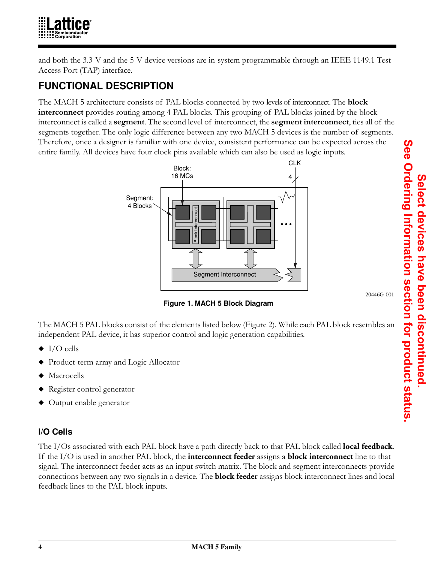

and both the 3.3-V and the 5-V device versions are in-system programmable through an IEEE 1149.1 Test Access Port (TAP) interface.

# **FUNCTIONAL DESCRIPTION**

The MACH 5 architecture consists of PAL blocks connected by two levels of interconnect. The **block interconnect** provides routing among 4 PAL blocks. This grouping of PAL blocks joined by the block interconnect is called a **segment**. The second level of interconnect, the **segment interconnect**, ties all of the segments together. The only logic difference between any two MACH 5 devices is the number of segments. Therefore, once a designer is familiar with one device, consistent performance can be expected across the entire family. All devices have four clock pins available which can also be used as logic inputs.



 **Figure 1. MACH 5 Block Diagram**

The MACH 5 PAL blocks consist of the elements listed below (Figure 2). While each PAL block resembles an independent PAL device, it has superior control and logic generation capabilities.

- $\blacklozenge$  I/O cells
- ◆ Product-term array and Logic Allocator
- Macrocells
- Register control generator
- ◆ Output enable generator

## **I/O Cells**

The I/Os associated with each PAL block have a path directly back to that PAL block called **local feedback**. If the I/O is used in another PAL block, the **interconnect feeder** assigns a **block interconnect** line to that signal. The interconnect feeder acts as an input switch matrix. The block and segment interconnects provide connections between any two signals in a device. The **block feeder** assigns block interconnect lines and local feedback lines to the PAL block inputs.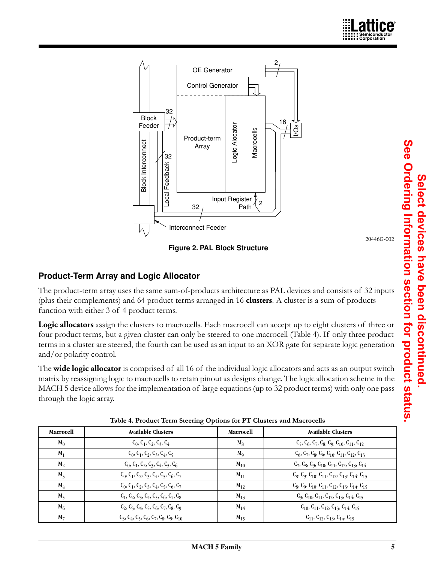

#### **Product-Term Array and Logic Allocator**

|                          | <b>Block Interconnect</b><br>Array<br>32<br>Local Feedback<br>32<br>Interconnect Feeder<br><b>Product-Term Array and Logic Allocator</b>            | Macro<br>Logic Al<br>Input Register <sup>T</sup><br>$\overline{c}$<br>Path<br>Figure 2. PAL Block Structure | 20446G-002                                                                                                                                                                                                                                                                                                                                         |
|--------------------------|-----------------------------------------------------------------------------------------------------------------------------------------------------|-------------------------------------------------------------------------------------------------------------|----------------------------------------------------------------------------------------------------------------------------------------------------------------------------------------------------------------------------------------------------------------------------------------------------------------------------------------------------|
|                          | (plus their complements) and 64 product terms arranged in 16 clusters. A cluster is a sum-of-products<br>function with either 3 of 4 product terms. |                                                                                                             | The product-term array uses the same sum-of-products architecture as PAL devices and consists of 32 inputs                                                                                                                                                                                                                                         |
| and/or polarity control. |                                                                                                                                                     |                                                                                                             | Logic allocators assign the clusters to macrocells. Each macrocell can accept up to eight clusters of three or<br>four product terms, but a given cluster can only be steered to one macrocell (Table 4). If only three product<br>terms in a cluster are steered, the fourth can be used as an input to an XOR gate for separate logic generation |
| through the logic array. | Table 4. Product Term Steering Options for PT Clusters and Macrocells                                                                               |                                                                                                             | The wide logic allocator is comprised of all 16 of the individual logic allocators and acts as an output switch<br>matrix by reassigning logic to macrocells to retain pinout as designs change. The logic allocation scheme in the<br>MACH 5 device allows for the implementation of large equations (up to 32 product terms) with only one pass  |
| Macrocell                | <b>Available Clusters</b>                                                                                                                           | Macrocell                                                                                                   | <b>Available Clusters</b>                                                                                                                                                                                                                                                                                                                          |
| $M_0$                    | $C_0, C_1, C_2, C_3, C_4$                                                                                                                           | $M_8$                                                                                                       | $C_5$ , $C_6$ , $C_7$ , $C_8$ , $C_9$ , $C_{10}$ , $C_{11}$ , $C_{12}$                                                                                                                                                                                                                                                                             |
| $M_1$                    | $C_0, C_1, C_2, C_3, C_4, C_5$                                                                                                                      | $M_9$                                                                                                       | $C_6$ , $C_7$ , $C_8$ , $C_9$ , $C_{10}$ , $C_{11}$ , $C_{12}$ , $C_{13}$                                                                                                                                                                                                                                                                          |
| $M_2$                    | $C_0, C_1, C_2, C_3, C_4, C_5, C_6$                                                                                                                 | $M_{10}$                                                                                                    | $C_7, C_8, C_9, C_{10}, C_{11}, C_{12}, C_{13}, C_{14}$                                                                                                                                                                                                                                                                                            |
| $M_3$                    | $C_0, C_1, C_2, C_3, C_4, C_5, C_6, C_7$                                                                                                            | $M_{11}$                                                                                                    | $C_8$ , $C_9$ , $C_{10}$ , $C_{11}$ , $C_{12}$ , $C_{13}$ , $C_{14}$ , $C_{15}$                                                                                                                                                                                                                                                                    |
| $M_4$                    | $C_0, C_1, C_2, C_3, C_4, C_5, C_6, C_7$                                                                                                            | $M_{12}$                                                                                                    | $C_8$ , $C_9$ , $C_{10}$ , $C_{11}$ , $C_{12}$ , $C_{13}$ , $C_{14}$ , $C_{15}$                                                                                                                                                                                                                                                                    |
| $M_5$                    | $C_1, C_2, C_3, C_4, C_5, C_6, C_7, C_8$                                                                                                            | $M_{13}$                                                                                                    | $C_9, C_{10}, C_{11}, C_{12}, C_{13}, C_{14}, C_{15}$                                                                                                                                                                                                                                                                                              |
| $M_6$                    | $C_2, C_3, C_4, C_5, C_6, C_7, C_8, C_9$                                                                                                            | $M_{14}$                                                                                                    | $C_{10}$ , $C_{11}$ , $C_{12}$ , $C_{13}$ , $C_{14}$ , $C_{15}$                                                                                                                                                                                                                                                                                    |
| M <sub>7</sub>           | $C_3, C_4, C_5, C_6, C_7, C_8, C_9, C_{10}$                                                                                                         | $M_{15}$                                                                                                    | $C_{11}$ , $C_{12}$ , $C_{13}$ , $C_{14}$ , $C_{15}$                                                                                                                                                                                                                                                                                               |

<span id="page-4-0"></span>**Table 4. Product Term Steering Options for PT Clusters and Macrocells**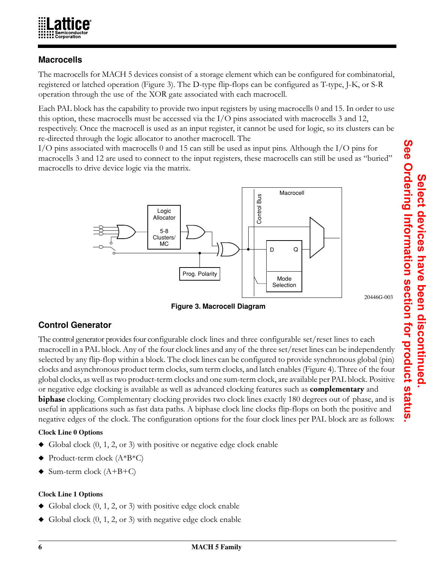

#### **Macrocells**

The macrocells for MACH 5 devices consist of a storage element which can be configured for combinatorial, registered or latched operation (Figure 3). The D-type flip-flops can be configured as T-type, J-K, or S-R operation through the use of the XOR gate associated with each macrocell.

Each PAL block has the capability to provide two input registers by using macrocells 0 and 15. In order to use this option, these macrocells must be accessed via the I/O pins associated with macrocells 3 and 12, respectively. Once the macrocell is used as an input register, it cannot be used for logic, so its clusters can be re-directed through the logic allocator to another macrocell. The

I/O pins associated with macrocells 0 and 15 can still be used as input pins. Although the I/O pins for macrocells 3 and 12 are used to connect to the input registers, these macrocells can still be used as "buried" macrocells to drive device logic via the matrix.



 **Figure 3. Macrocell Diagram**

20446G-003

## **Control Generator**

The control generator provides four configurable clock lines and three configurable set/reset lines to each macrocell in a PAL block. Any of the four clock lines and any of the three set/reset lines can be independently selected by any flip-flop within a block. The clock lines can be configured to provide synchronous global (pin) clocks and asynchronous product term clocks, sum term clocks, and latch enables (Figure 4). Three of the four global clocks, as well as two product-term clocks and one sum-term clock, are available per PAL block. Positive or negative edge clocking is available as well as advanced clocking features such as **complementary** and **biphase** clocking. Complementary clocking provides two clock lines exactly 180 degrees out of phase, and is useful in applications such as fast data paths. A biphase clock line clocks flip-flops on both the positive and negative edges of the clock. The configuration options for the four clock lines per PAL block are as follows:

#### **Clock Line 0 Options**

- ◆ Global clock (0, 1, 2, or 3) with positive or negative edge clock enable
- Product-term clock  $(A*B*C)$
- $\blacklozenge$  Sum-term clock (A+B+C)

#### **Clock Line 1 Options**

- $\blacklozenge$  Global clock  $(0, 1, 2, \text{or } 3)$  with positive edge clock enable
- Global clock  $(0, 1, 2, \text{or } 3)$  with negative edge clock enable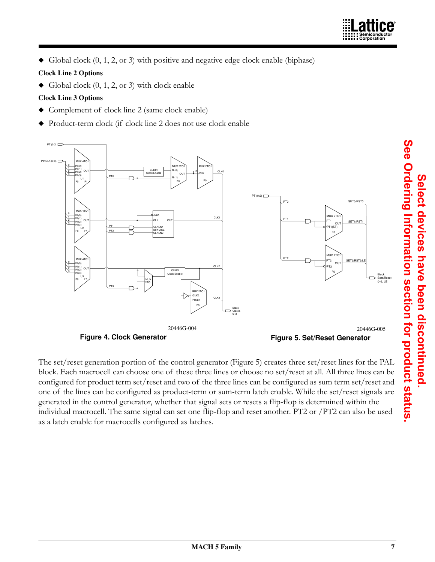$\blacklozenge$  Global clock  $(0, 1, 2, \text{or } 3)$  with positive and negative edge clock enable (biphase)

#### **Clock Line 2 Options**

 $\blacklozenge$  Global clock  $(0, 1, 2, \text{or } 3)$  with clock enable

#### **Clock Line 3 Options**

- ◆ Complement of clock line 2 (same clock enable)
- ◆ Product-term clock (if clock line 2 does not use clock enable



<span id="page-6-0"></span>The set/reset generation portion of the control generator (Figure [5\)](#page-6-0) creates three set/reset lines for the PAL block. Each macrocell can choose one of these three lines or choose no set/reset at all. All three lines can be configured for product term set/reset and two of the three lines can be configured as sum term set/reset and one of the lines can be configured as product-term or sum-term latch enable. While the set/reset signals are generated in the control generator, whether that signal sets or resets a flip-flop is determined within the individual macrocell. The same signal can set one flip-flop and reset another. PT2 or /PT2 can also be used as a latch enable for macrocells configured as latches.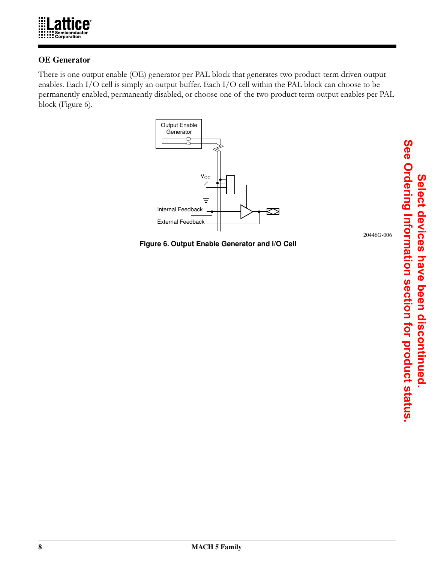

#### **OE Generator**

There is one output enable (OE) generator per PAL block that generates two product-term driven output enables. Each I/O cell is simply an output buffer. Each I/O cell within the PAL block can choose to be permanently enabled, permanently disabled, or choose one of the two product term output enables per PAL block (Figure [6](#page-7-0)).



<span id="page-7-0"></span> **Figure 6. Output Enable Generator and I/O Cell**

20446G-006

**Select devices have been discontinued.** 

**See Ordering Information section for product status.**

See Ordering Information section for product status. Select devices have been discontinued

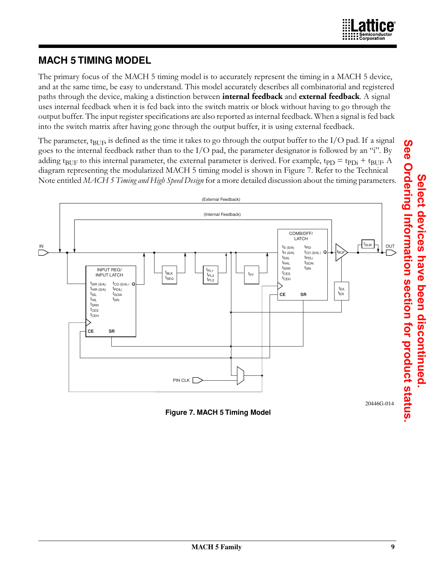

## **MACH 5 TIMING MODEL**

The primary focus of the MACH 5 timing model is to accurately represent the timing in a MACH 5 device, and at the same time, be easy to understand. This model accurately describes all combinatorial and registered paths through the device, making a distinction between **internal feedback** and **external feedback**. A signal uses internal feedback when it is fed back into the switch matrix or block without having to go through the output buffer. The input register specifications are also reported as internal feedback. When a signal is fed back into the switch matrix after having gone through the output buffer, it is using external feedback.

The parameter,  $t_{\text{BUE}}$  is defined as the time it takes to go through the output buffer to the I/O pad. If a signal goes to the internal feedback rather than to the  $I/O$  pad, the parameter designator is followed by an "i". By adding t<sub>BUF</sub> to this internal parameter, the external parameter is derived. For example, t<sub>PD</sub> = t<sub>PDi</sub> + t<sub>BUF</sub>. A diagram representing the modularized MACH 5 timing model is shown in Figure 7. Refer to the Technical Note entitled *MACH 5 Timing and High Speed Design* for a more detailed discussion about the timing parameters.



 **Figure 7. MACH 5 Timing Model**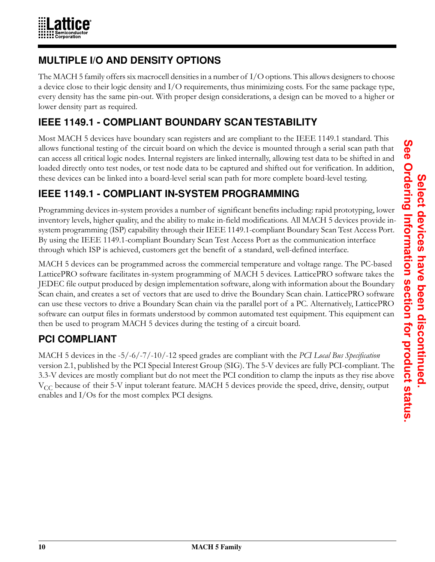

## **MULTIPLE I/O AND DENSITY OPTIONS**

The MACH 5 family offers six macrocell densities in a number of I/O options. This allows designers to choose a device close to their logic density and I/O requirements, thus minimizing costs. For the same package type, every density has the same pin-out. With proper design considerations, a design can be moved to a higher or lower density part as required.

# **IEEE 1149.1 - COMPLIANT BOUNDARY SCAN TESTABILITY**

Most MACH 5 devices have boundary scan registers and are compliant to the IEEE 1149.1 standard. This allows functional testing of the circuit board on which the device is mounted through a serial scan path that can access all critical logic nodes. Internal registers are linked internally, allowing test data to be shifted in and loaded directly onto test nodes, or test node data to be captured and shifted out for verification. In addition, these devices can be linked into a board-level serial scan path for more complete board-level testing.

# **IEEE 1149.1 - COMPLIANT IN-SYSTEM PROGRAMMING**

Programming devices in-system provides a number of significant benefits including: rapid prototyping, lower inventory levels, higher quality, and the ability to make in-field modifications. All MACH 5 devices provide insystem programming (ISP) capability through their IEEE 1149.1-compliant Boundary Scan Test Access Port. By using the IEEE 1149.1-compliant Boundary Scan Test Access Port as the communication interface through which ISP is achieved, customers get the benefit of a standard, well-defined interface.

MACH 5 devices can be programmed across the commercial temperature and voltage range. The PC-based LatticePRO software facilitates in-system programming of MACH 5 devices. LatticePRO software takes the JEDEC file output produced by design implementation software, along with information about the Boundary Scan chain, and creates a set of vectors that are used to drive the Boundary Scan chain. LatticePRO software can use these vectors to drive a Boundary Scan chain via the parallel port of a PC. Alternatively, LatticePRO software can output files in formats understood by common automated test equipment. This equipment can then be used to program MACH 5 devices during the testing of a circuit board.

# **PCI COMPLIANT**

MACH 5 devices in the -5/-6/-7/-10/-12 speed grades are compliant with the *PCI Local Bus Specification* version 2.1, published by the PCI Special Interest Group (SIG). The 5-V devices are fully PCI-compliant. The 3.3-V devices are mostly compliant but do not meet the PCI condition to clamp the inputs as they rise above  $V_{CC}$  because of their 5-V input tolerant feature. MACH 5 devices provide the speed, drive, density, output enables and I/Os for the most complex PCI designs.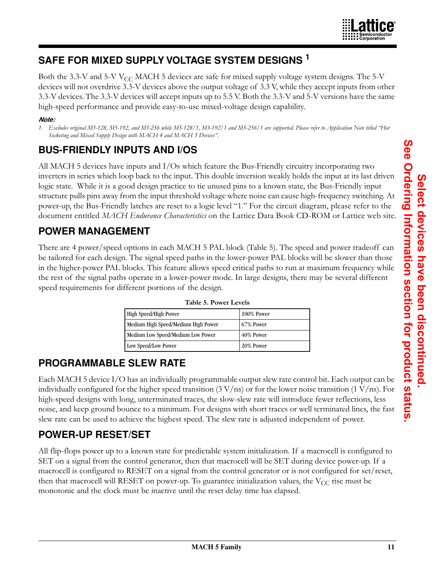# **SAFE FOR MIXED SUPPLY VOLTAGE SYSTEM DESIGNS 1**

Both the 3.3-V and 5-V V<sub>CC</sub> MACH 5 devices are safe for mixed supply voltage system designs. The 5-V devices will not overdrive 3.3-V devices above the output voltage of 3.3 V, while they accept inputs from other 3.3-V devices. The 3.3-V devices will accept inputs up to 5.5 V. Both the 3.3-V and 5-V versions have the same high-speed performance and provide easy-to-use mixed-voltage design capability.

#### *Note:*

*1. Excludes original M5-128, M5-192, and M5-256 while M5-128/1, M3-192/1 and M5-256/1 are supported. Please refer to Application Note titled "Hot Socketing and Mixed Supply Design with MACH 4 and MACH 5 Devices".*

# **BUS-FRIENDLY INPUTS AND I/OS**

All MACH 5 devices have inputs and I/Os which feature the Bus-Friendly circuitry incorporating two inverters in series which loop back to the input. This double inversion weakly holds the input at its last driven logic state. While it is a good design practice to tie unused pins to a known state, the Bus-Friendly input structure pulls pins away from the input threshold voltage where noise can cause high-frequency switching. At power-up, the Bus-Friendly latches are reset to a logic level "1." For the circuit diagram, please refer to the document entitled *MACH Endurance Characteristics* on the Lattice Data Book CD-ROM or Lattice web site.

# **POWER MANAGEMENT**

<span id="page-10-0"></span>There are 4 power/speed options in each MACH 5 PAL block (Table [5](#page-10-0)). The speed and power tradeoff can be tailored for each design. The signal speed paths in the lower-power PAL blocks will be slower than those in the higher-power PAL blocks. This feature allows speed critical paths to run at maximum frequency while the rest of the signal paths operate in a lower-power mode. In large designs, there may be several different speed requirements for different portions of the design.

| High Speed/High Power               | 100% Power   |
|-------------------------------------|--------------|
| Medium High Speed/Medium High Power | $67\%$ Power |
| Medium Low Speed/Medium Low Power   | 40% Power    |
| Low Speed/Low Power                 | 20% Power    |

|  | Table 5. Power Levels |
|--|-----------------------|
|  |                       |

# **PROGRAMMABLE SLEW RATE**

Each MACH 5 device I/O has an individually programmable output slew rate control bit. Each output can be individually configured for the higher speed transition  $(3 V/ns)$  or for the lower noise transition  $(1 V/ns)$ . For high-speed designs with long, unterminated traces, the slow-slew rate will introduce fewer reflections, less noise, and keep ground bounce to a minimum. For designs with short traces or well terminated lines, the fast slew rate can be used to achieve the highest speed. The slew rate is adjusted independent of power.

# **POWER-UP RESET/SET**

All flip-flops power up to a known state for predictable system initialization. If a macrocell is configured to SET on a signal from the control generator, then that macrocell will be SET during device power-up. If a macrocell is configured to RESET on a signal from the control generator or is not configured for set/reset, then that macrocell will RESET on power-up. To guarantee initialization values, the  $V_{CC}$  rise must be monotonic and the clock must be inactive until the reset delay time has elapsed.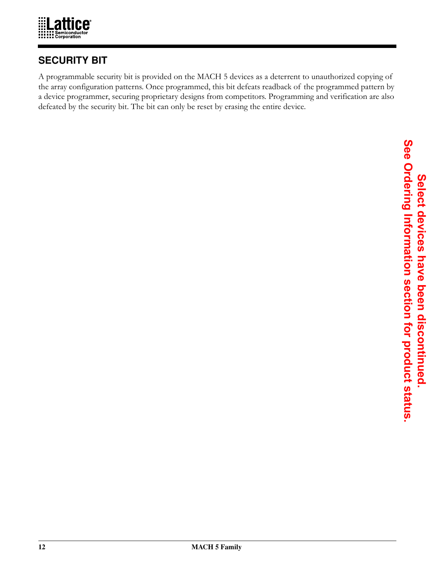

## **SECURITY BIT**

A programmable security bit is provided on the MACH 5 devices as a deterrent to unauthorized copying of the array configuration patterns. Once programmed, this bit defeats readback of the programmed pattern by a device programmer, securing proprietary designs from competitors. Programming and verification are also defeated by the security bit. The bit can only be reset by erasing the entire device.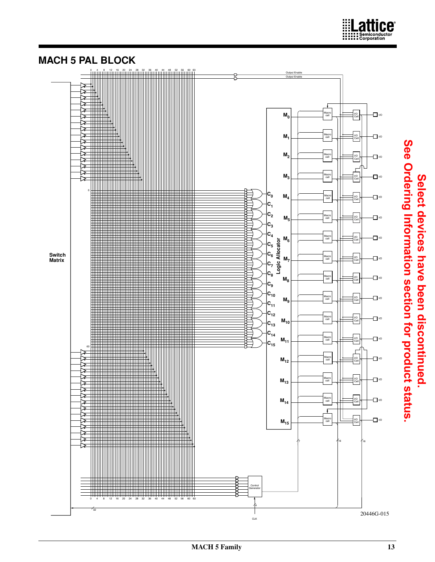

# **MACH 5 PAL BLOCK**

**Select devices have been discontinued.** 

Select devices have been discontinued

Lattice®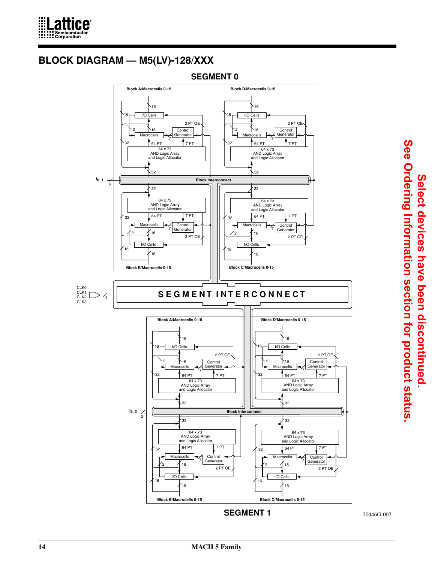

# **BLOCK DIAGRAM — M5(LV)-128/XXX**

**SEGMENT 0**

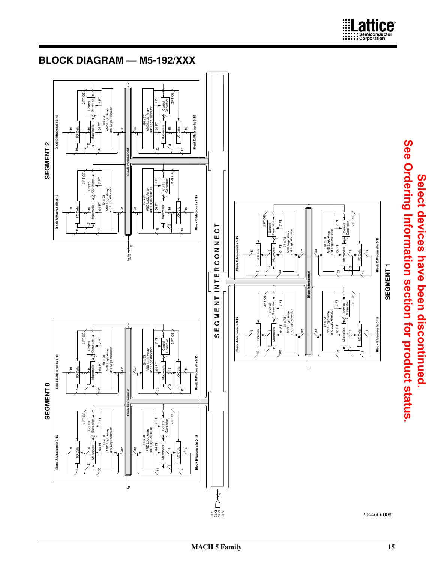

Lattice®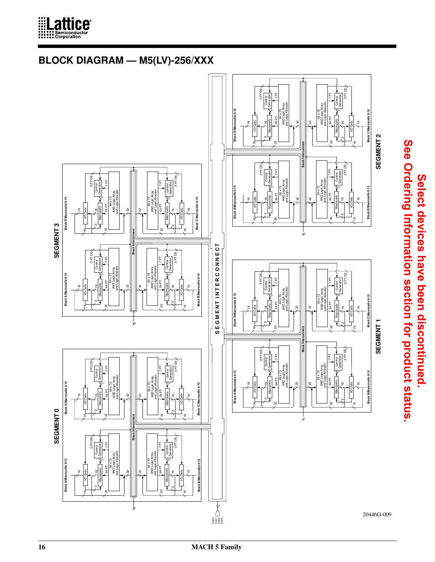





**Select devices have been discontinued.** 

Select devices have been discontinued.

**See Ordering Information section for product status.**

**16 MACH 5 Family**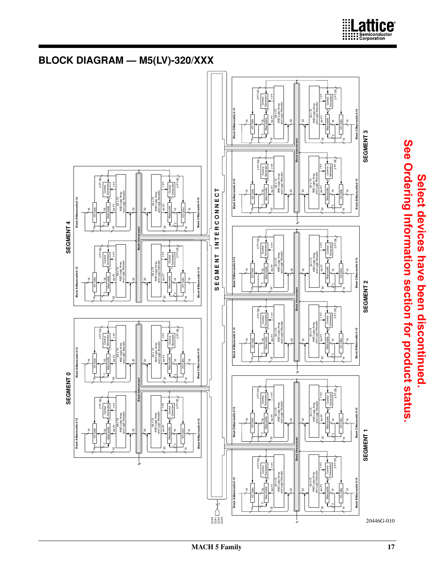

# **BLOCK DIAGRAM — M5(LV)-320/XXX**

**Block A/Macrocells 0-15 Block D/Macrocells 0-15**

**Nock A/Macrocells 0** 

SEGMENT<sub>0</sub>

ells 0-15

I Anak

**Block A/Macrocells 0-15 Block D/Macrocells 0-15**

**Block A/Mac** 

SEGMENT 4

**SEGMENT 0 SEGMENT 4**

**Select devices have been discontinued.** 

Select devices have been discontinued.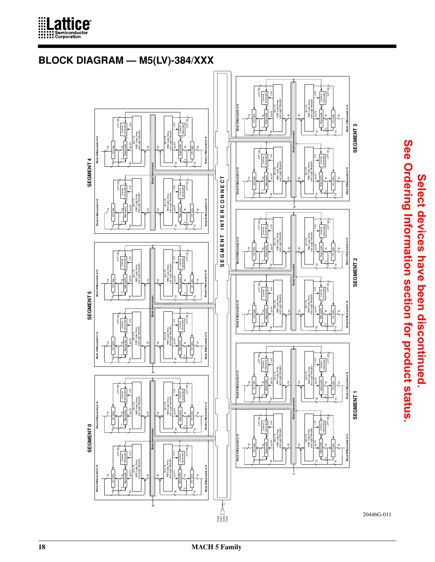

# **BLOCK DIAGRAM — M5(LV)-384/XXX**



See Ordering Information section for product status. **See Ordering Information section for product status.**Select devices have been discontinued. **Select devices have been discontinued.**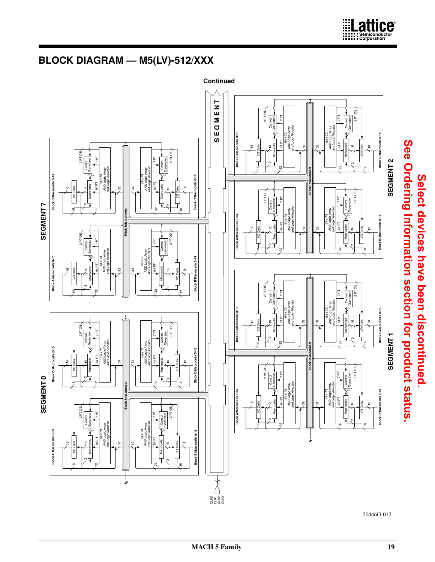

Macrocells  $\frac{4}{\sqrt{2}}$  Generation  $\frac{64 \text{ PT}}{\text{AU Log} \times 73}$ <br>AND Logic Array<br>and Logic Allocator

 $\approx$ 

32

Macrocells  $\begin{array}{c} \begin{array}{c} \hline \text{Mard} \end{array} \\ \hline \text{V} \end{array}$  Generator 64 PT

 $\sim$ 

7 PT

┛

64 x 73 AND Logic Array and Logic Allocator

32

 $\stackrel{\scriptscriptstyle\mathsf{6}}{=}\,$ 

5

Block B/Ma

5

I/O Cells

2 PT OE

64 PT

3

 $\overline{\phantom{0}}$ 

7 PT

Control<br>Generator

16

2 PT OE

I/O Cells  $\stackrel{\scriptscriptstyle\mathsf{6}}{=}\,$ 

**Block A/Macro** 

5

20446G-012

Macrocells  $\begin{array}{c} \hline \text{Marcocells} \\ \hline \text{V} \end{array}$  Generator 64 PT

Macrocells  $\begin{bmatrix} -4 \\ 7 \end{bmatrix}$  Generator 64 PT

 $\frac{M}{V}$  Control  $\frac{1}{\sqrt{2}}$  Generator 64 PT

1

Macrocells Control Generator 64 PT

 $\overline{\phantom{0}}$ 

7 PT

16

2 PT OE

7 PT

32

16

9

**Block B/Macrocells 0-15 Block C/Macrocells 0-15**

**SEGMENT 2**

SEGMENT<sub>2</sub>

9

Lattice®

16

I/O Cells

16

I/O Cells

2 PT OE

2

7 PT

32

9

 $\scriptstyle\sim$  $\approx$ 

2 PT OE

7 PT

33

**1**

9

9

**Block B/Macrocells 0-15 Block C/Macrocells 0-15**

Block C/M

**SEGMENT 1**

SEGMENT<sub>1</sub>

9

9

I/O Cells

5

I/O Cells

2 PT OE

e<br>Segge

4

 $\scriptstyle\mathtt{c}$  $\stackrel{\scriptscriptstyle\mathsf{6}}{=}\,$ 

 $\approx$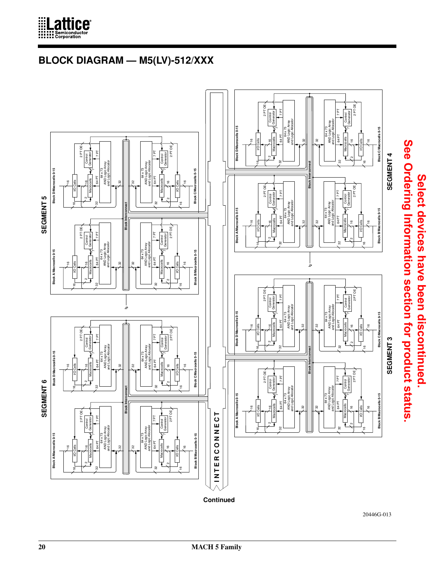

# **BLOCK DIAGRAM — M5(LV)-512/XXX**



20446G-013

**Select devices have been discontinued.** 

Select devices have been discontinued.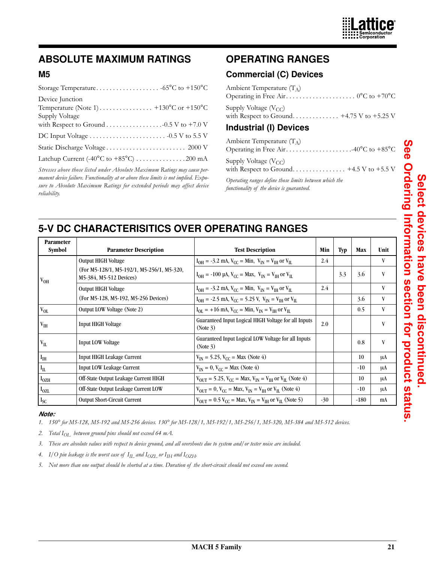

# **ABSOLUTE MAXIMUM RATINGS**

#### **M5**

| Device Junction                                                                       |
|---------------------------------------------------------------------------------------|
| Temperature (Note 1) $\dots \dots \dots \dots \dots +130^{\circ}C$ or $+150^{\circ}C$ |
| Supply Voltage                                                                        |
|                                                                                       |
|                                                                                       |
|                                                                                       |
| Latchup Current $(-40^{\circ}$ C to $+85^{\circ}$ C) 200 mA                           |
|                                                                                       |

*Stresses above those listed under Absolute Maximum Ratings may cause permanent device failure. Functionality at or above these limits is not implied. Exposure to Absolute Maximum Ratings for extended periods may affect device reliability.*

# **OPERATING RANGES**

#### **Commercial (C) Devices**

| Ambient Temperature $(T_A)$                                                                                        |
|--------------------------------------------------------------------------------------------------------------------|
| Supply Voltage $(V_{CC})$<br>with Respect to Ground +4.75 V to +5.25 V                                             |
| <b>Industrial (I) Devices</b>                                                                                      |
| Ambient Temperature $(T_A)$<br>Operating in Free Air40°C to +85°C                                                  |
| Supply Voltage $(V_{CC})$<br>with Respect to Ground +4.5 V to +5.5 V                                               |
| $\Omega_t$ and $\Omega_t$ are contracted in the set of $\Omega$ and $\Omega$ are contracted in the set of $\Omega$ |

*Operating ranges define those limits between which the functionality of the device is guaranteed.*

## **5-V DC CHARACTERISITICS OVER OPERATING RANGES**

| <b>Parameter</b><br><b>Symbol</b> | <b>Parameter Description</b>                                          | <b>Test Description</b>                                                                                              | Min   | Typ | Max    | Unit |
|-----------------------------------|-----------------------------------------------------------------------|----------------------------------------------------------------------------------------------------------------------|-------|-----|--------|------|
|                                   | <b>Output HIGH Voltage</b>                                            | $I_{OH} = -3.2$ mA, $V_{CC} = Min$ , $V_{IN} = V_{IH}$ or $V_{IL}$                                                   | 2.4   |     |        | V    |
| $V_{OH}$                          | (For M5-128/1, M5-192/1, M5-256/1, M5-320,<br>M5-384, M5-512 Devices) | $I_{OH} = -100 \mu A$ , $V_{CC} = Max$ , $V_{IN} = V_{IH}$ or $V_{IL}$                                               |       | 3.3 | 3.6    | V    |
|                                   | Output HIGH Voltage                                                   | $I_{OH} = -3.2$ mA, $V_{CC} = Min$ , $V_{IN} = V_{IH}$ or $V_{IL}$                                                   | 2.4   |     |        | V    |
|                                   | (For M5-128, M5-192, M5-256 Devices)                                  | $I_{OH} = -2.5$ mA, $V_{CC} = 5.25$ V, $V_{IN} = V_{IH}$ or $V_{IL}$                                                 |       |     | 3.6    | V    |
| $\rm V_{OL}$                      | Output LOW Voltage (Note 2)                                           | $I_{OL}$ = +16 mA, $V_{CC}$ = Min, $V_{IN}$ = $V_{IH}$ or $V_{IL}$                                                   |       |     | 0.5    | V    |
| $V_{IH}$                          | <b>Input HIGH Voltage</b>                                             | Guaranteed Input Logical HIGH Voltage for all Inputs<br>(Note 3)                                                     | 2.0   |     |        | V    |
| $V_{IL}$                          | <b>Input LOW Voltage</b>                                              | Guaranteed Input Logical LOW Voltage for all Inputs<br>(Note 3)                                                      |       |     | 0.8    | V    |
| $\mathbf{I}_{\text{IH}}$          | <b>Input HIGH Leakage Current</b>                                     | $V_{IN}$ = 5.25, $V_{CC}$ = Max (Note 4)                                                                             |       |     | 10     | μA   |
| $\mathbf{I}_{\rm IL}$             | <b>Input LOW Leakage Current</b>                                      | $V_{IN} = 0$ , $V_{CC} = Max (Note 4)$                                                                               |       |     | $-10$  | μA   |
| I <sub>OZH</sub>                  | Off-State Output Leakage Current HIGH                                 | $V_{\text{OUT}} = 5.25$ , $V_{\text{CC}} = \text{Max}$ , $V_{\text{IN}} = V_{\text{IH}}$ or $V_{\text{IL}}$ (Note 4) |       |     | 10     | μA   |
| $I_{OZL}$                         | Off-State Output Leakage Current LOW                                  | $V_{\text{OUT}} = 0$ , $V_{\text{CC}} = \text{Max}$ , $V_{\text{IN}} = V_{\text{IH}}$ or $V_{\text{IL}}$ (Note 4)    |       |     | $-10$  | μA   |
| $I_{SC}$                          | <b>Output Short-Circuit Current</b>                                   | $V_{\text{OUT}} = 0.5 V_{\text{CC}} = \text{Max}, V_{\text{IN}} = V_{\text{IH}}$ or $V_{\text{IL}}$ (Note 5)         | $-30$ |     | $-180$ | mA   |

#### *Note:*

- *1. 150° for M5-128, M5-192 and M5-256 devices. 130° for M5-128/1, M5-192/1, M5-256/1, M5-320, M5-384 and M5-512 devices.*
- *2. Total IOL between ground pins should not exceed 64 mA.*
- *3. These are absolute values with respect to device ground, and all overshoots due to system and/or tester noise are included.*
- 4. I/O pin leakage is the worst case of  $I_{IL}$  and  $I_{OZL}$  or  $I_{IH}$  and  $I_{OZH}$ .
- *5. Not more than one output should be shorted at a time. Duration of the short-circuit should not exceed one second.*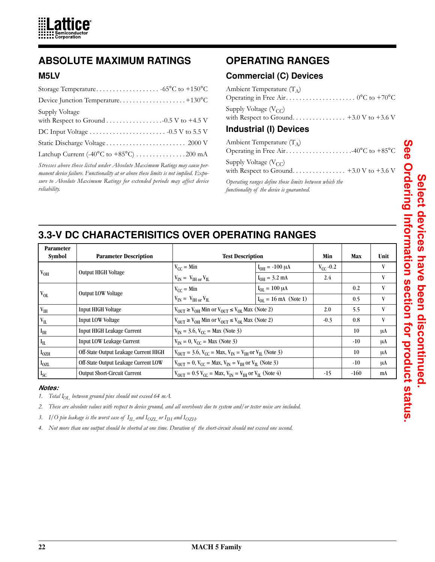

## **ABSOLUTE MAXIMUM RATINGS**

#### **M5LV**

| Supply Voltage                                                |
|---------------------------------------------------------------|
|                                                               |
|                                                               |
| Latchup Current (-40 $^{\circ}$ C to +85 $^{\circ}$ C) 200 mA |

*Stresses above those listed under Absolute Maximum Ratings may cause permanent device failure. Functionality at or above these limits is not implied. Exposure to Absolute Maximum Ratings for extended periods may affect device reliability.*

# **OPERATING RANGES**

## **Commercial (C) Devices**

| Ambient Temperature $(T_A)$                                       |
|-------------------------------------------------------------------|
| Supply Voltage $(V_{CC})$                                         |
| Industrial (I) Devices                                            |
| Ambient Temperature $(T_A)$<br>Operating in Free Air40°C to +85°C |
| Supply Voltage $(V_{CC})$                                         |
| Operating ranges define those limits between which the            |

*functionality of the device is guaranteed.* 

# **3.3-V DC CHARACTERISITICS OVER OPERATING RANGES**

| <b>Parameter</b><br><b>Symbol</b> | <b>Parameter Description</b>          | <b>Test Description</b>                                                                                             |                                   | Min           | Max    | Unit |
|-----------------------------------|---------------------------------------|---------------------------------------------------------------------------------------------------------------------|-----------------------------------|---------------|--------|------|
|                                   | <b>Output HIGH Voltage</b>            | $V_{CC}$ = Min                                                                                                      | $I_{OH} = -100 \mu A$             | $V_{CC}$ -0.2 |        | V    |
| $V_{OH}$                          |                                       | $V_{IN} = V_{IH}$ or $V_{IL}$                                                                                       | $I_{OH} = 3.2$ mA                 | 2.4           |        | V    |
|                                   | <b>Output LOW Voltage</b>             | $V_{CC}$ = Min                                                                                                      | $I_{OL} = 100 \mu A$              |               | 0.2    | V    |
| $V_{OL}$                          |                                       | $V_{IN} = V_{IH}$ or $V_{IL}$                                                                                       | $I_{OL} = 16 \text{ mA}$ (Note 1) |               | 0.5    | V    |
| $V_{IH}$                          | <b>Input HIGH Voltage</b>             | $V_{\text{OUT}} \geq V_{\text{OH}}$ Min or $V_{\text{OUT}} \leq V_{\text{OL}}$ Max (Note 2)                         |                                   | 2.0           | 5.5    | V    |
| $\rm V_{II}$                      | <b>Input LOW Voltage</b>              | $V_{\text{OUT}} \geq V_{\text{OH}}$ Min or $V_{\text{OUT}} \leq V_{\text{OL}}$ Max (Note 2)                         |                                   | $-0.3$        | 0.8    | V    |
| $I_{\rm IH}$                      | <b>Input HIGH Leakage Current</b>     | $V_{IN}$ = 3.6, $V_{CC}$ = Max (Note 3)                                                                             |                                   |               | 10     | μA   |
| $\vert I_{\text{IL}}\vert$        | Input LOW Leakage Current             | $V_{IN} = 0$ , $V_{CC} = Max (Note 3)$                                                                              |                                   |               | $-10$  | μA   |
| I <sub>OZH</sub>                  | Off-State Output Leakage Current HIGH | $V_{\text{OUT}} = 3.6$ , $V_{\text{CC}} = \text{Max}$ , $V_{\text{IN}} = V_{\text{IH}}$ or $V_{\text{IL}}$ (Note 3) |                                   |               | 10     | μA   |
| $I_{OZL}$                         | Off-State Output Leakage Current LOW  | $V_{\text{OUT}} = 0$ , $V_{\text{CC}} = \text{Max}$ , $V_{\text{IN}} = V_{\text{IH}}$ or $V_{\text{IL}}$ (Note 3)   |                                   |               | $-10$  | μA   |
| $I_{SC}$                          | <b>Output Short-Circuit Current</b>   | $V_{\text{OUT}} = 0.5 V_{\text{CC}} = \text{Max}, V_{\text{IN}} = V_{\text{IH}}$ or $V_{\text{IL}}$ (Note 4)        |                                   | $-15$         | $-160$ | mA   |

#### *Notes:*

*1. Total IOL between ground pins should not exceed 64 mA.*

- *2. These are absolute values with respect to device ground, and all overshoots due to system and/or tester noise are included.*
- 3. I/O pin leakage is the worst case of  $I_{\text{IL}}$  and  $I_{\text{OZL}}$  or  $I_{\text{IH}}$  and  $I_{\text{OZH}}$ .
- *4. Not more than one output should be shorted at one time. Duration of the short-circuit should not exceed one second.*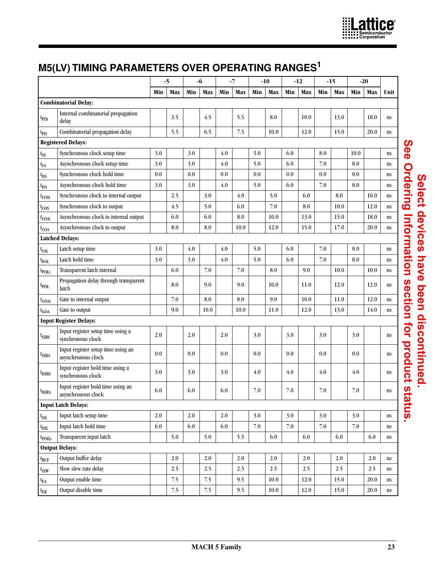

# **M5(LV) TIMING PARAMETERS OVER OPERATING RANGES1**

|                    |                                                          |     | $-5$ |     | $-6$    |     | $-7$    |         | $-10$   |         | $-12$   |         | $-15$   |         | $-20$   |      |
|--------------------|----------------------------------------------------------|-----|------|-----|---------|-----|---------|---------|---------|---------|---------|---------|---------|---------|---------|------|
|                    |                                                          | Min | Max  | Min | Max     | Min | Max     | Min     | Max     | Min     | Max     | Min     | Max     | Min     | Max     | Unit |
|                    | <b>Combinatorial Delay:</b>                              |     |      |     |         |     |         |         |         |         |         |         |         |         |         |      |
| t <sub>PDi</sub>   | Internal combinatorial propagation<br>delay              |     | 3.5  |     | 4.5     |     | 5.5     |         | 8.0     |         | 10.0    |         | 13.0    |         | 18.0    | ns   |
| $t_{PD}$           | Combinatorial propagation delay                          |     | 5.5  |     | 6.5     |     | 7.5     |         | 10.0    |         | 12.0    |         | 15.0    |         | 20.0    | ns   |
|                    | <b>Registered Delays:</b>                                |     |      |     |         |     |         |         |         |         |         |         |         |         |         |      |
| $t_{SS}$           | Synchronous clock setup time                             | 3.0 |      | 3.0 |         | 4.0 |         | 5.0     |         | 6.0     |         | 8.0     |         | 10.0    |         | ns   |
| t <sub>SA</sub>    | Asynchronous clock setup time                            | 3.0 |      | 3.0 |         | 4.0 |         | 5.0     |         | 6.0     |         | 7.0     |         | 8.0     |         | ns   |
| $t_{\rm HS}$       | Synchronous clock hold time                              | 0.0 |      | 0.0 |         | 0.0 |         | 0.0     |         | 0.0     |         | 0.0     |         | 0.0     |         | ns   |
| t <sub>НА</sub>    | Asynchronous clock hold time                             | 3.0 |      | 3.0 |         | 4.0 |         | 5.0     |         | 6.0     |         | 7.0     |         | 8.0     |         | ns   |
| t <sub>COSi</sub>  | Synchronous clock to internal output                     |     | 2.5  |     | 3.0     |     | 4.0     |         | 5.0     |         | 6.0     |         | 8.0     |         | 10.0    | ns   |
| $t_{\text{COS}}$   | Synchronous clock to output                              |     | 4.5  |     | 5.0     |     | 6.0     |         | 7.0     |         | 8.0     |         | 10.0    |         | 12.0    | ns   |
| t <sub>COAi</sub>  | Asynchronous clock to internal output                    |     | 6.0  |     | 6.0     |     | 8.0     |         | 10.0    |         | 13.0    |         | 15.0    |         | 18.0    | ns   |
| $t_{\text{COA}}$   | Asynchronous clock to output                             |     | 8.0  |     | 8.0     |     | 10.0    |         | 12.0    |         | 15.0    |         | 17.0    |         | 20.0    | ns   |
|                    | <b>Latched Delays:</b>                                   |     |      |     |         |     |         |         |         |         |         |         |         |         |         |      |
| t <sub>SAL</sub>   | Latch setup time                                         | 3.0 |      | 4.0 |         | 4.0 |         | 5.0     |         | 6.0     |         | 7.0     |         | 8.0     |         | ns   |
| $t_{HAL}$          | Latch hold time                                          | 3.0 |      | 3.0 |         | 4.0 |         | 5.0     |         | 6.0     |         | 7.0     |         | 8.0     |         | ns   |
| <sup>t</sup> pDLi  | Transparent latch internal                               |     | 6.0  |     | 7.0     |     | 7.0     |         | 8.0     |         | 9.0     |         | 10.0    |         | 10.0    | ns   |
| <sup>I</sup> PDL   | Propagation delay through transparent<br>latch           |     | 8.0  |     | 9.0     |     | 9.0     |         | 10.0    |         | 11.0    |         | 12.0    |         | 12.0    | ns   |
| t <sub>GOAi</sub>  | Gate to internal output                                  |     | 7.0  |     | 8.0     |     | 8.0     |         | 9.0     |         | 10.0    |         | 11.0    |         | 12.0    | ns   |
| $t_{\rm GOA}$      | Gate to output                                           |     | 9.0  |     | 10.0    |     | 10.0    |         | 11.0    |         | 12.0    |         | 13.0    |         | 14.0    | ns   |
|                    | <b>Input Register Delays:</b>                            |     |      |     |         |     |         |         |         |         |         |         |         |         |         |      |
| t <sub>SIRS</sub>  | Input register setup time using a<br>synchronous clock   | 2.0 |      | 2.0 |         | 2.0 |         | 3.0     |         | 3.0     |         | 3.0     |         | 3.0     |         | ns   |
| <sup>I</sup> SIRA  | Input register setup time using an<br>asynchronous clock | 0.0 |      | 0.0 |         | 0.0 |         | 0.0     |         | 0.0     |         | 0.0     |         | 0.0     |         | ns   |
| <sup>L</sup> HIRS  | Input register hold time using a<br>synchronous clock    | 3.0 |      | 3.0 |         | 3.0 |         | 4.0     |         | 4.0     |         | 4.0     |         | 4.0     |         | ns   |
| $t_{\rm HIRA}$     | Input register hold time using an<br>asynchronous clock  | 6.0 |      | 6.0 |         | 6.0 |         | $7.0\,$ |         | $7.0\,$ |         | $7.0\,$ |         | $7.0\,$ |         | ns   |
|                    | <b>Input Latch Delays:</b>                               |     |      |     |         |     |         |         |         |         |         |         |         |         |         |      |
| t <sub>SIL</sub>   | Input latch setup time                                   | 2.0 |      | 2.0 |         | 2.0 |         | 3.0     |         | 3.0     |         | 3.0     |         | 3.0     |         | ns   |
| $t_{\rm HIL}$      | Input latch hold time                                    | 6.0 |      | 6.0 |         | 6.0 |         | 7.0     |         | $7.0\,$ |         | $7.0\,$ |         | $7.0\,$ |         | ns   |
| t <sub>pDILi</sub> | Transparent input latch                                  |     | 5.0  |     | 5.0     |     | 5.5     |         | 6.0     |         | 6.0     |         | 6.0     |         | 6.0     | ns   |
|                    | <b>Output Delays:</b>                                    |     |      |     |         |     |         |         |         |         |         |         |         |         |         |      |
| $t_{\text{BUF}}$   | Output buffer delay                                      |     | 2.0  |     | $2.0\,$ |     | $2.0\,$ |         | $2.0\,$ |         | $2.0\,$ |         | $2.0\,$ |         | $2.0\,$ | ns   |
| t <sub>SLW</sub>   | Slow slew rate delay                                     |     | 2.5  |     | 2.5     |     | 2.5     |         | 2.5     |         | 2.5     |         | 2.5     |         | 2.5     | ns   |
| $t_{EA}$           | Output enable time                                       |     | 7.5  |     | 7.5     |     | 9.5     |         | 10.0    |         | 12.0    |         | 15.0    |         | 20.0    | ns   |
| $t_{ER}$           | Output disable time                                      |     | 7.5  |     | 7.5     |     | 9.5     |         | 10.0    |         | 12.0    |         | 15.0    |         | 20.0    | ns   |

See Ordering Information section for product status. **See Ordering Information section for product status.**Select devices have been discontinued. **Select devices have been discontinued.**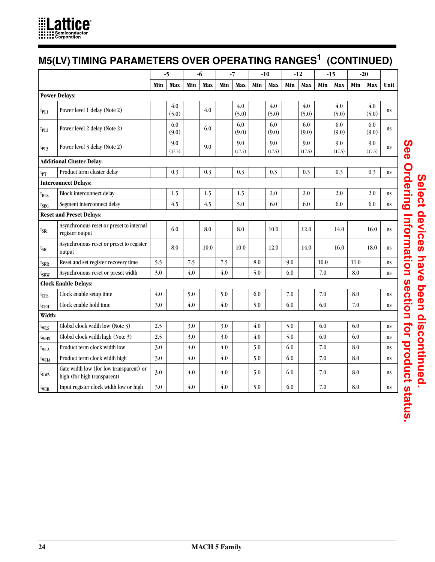

# **M5(LV) TIMING PARAMETERS OVER OPERATING RANGES1 (CONTINUED)**

|                  |                                                                        |     | $-5$          |     | -6   |     | $-7$          |     | $-10$         |     | $-12$         |      | $-15$         | $-20$ |               |      |
|------------------|------------------------------------------------------------------------|-----|---------------|-----|------|-----|---------------|-----|---------------|-----|---------------|------|---------------|-------|---------------|------|
|                  |                                                                        | Min | Max           | Min | Max  | Min | Max           | Min | Max           | Min | Max           | Min  | Max           | Min   | Max           | Unit |
|                  | <b>Power Delays:</b>                                                   |     |               |     |      |     |               |     |               |     |               |      |               |       |               |      |
| $t_{PL1}$        | Power level 1 delay (Note 2)                                           |     | 4.0<br>(5.0)  |     | 4.0  |     | 4.0<br>(5.0)  |     | 4.0<br>(5.0)  |     | 4.0<br>(5.0)  |      | 4.0<br>(5.0)  |       | 4.0<br>(5.0)  | ns   |
| $t_{PL2}$        | Power level 2 delay (Note 2)                                           |     | 6.0<br>(9.0)  |     | 6.0  |     | 6.0<br>(9.0)  |     | 6.0<br>(9.0)  |     | 6.0<br>(9.0)  |      | 6.0<br>(9.0)  |       | 6.0<br>(9.0)  | ns   |
| $t_{PL3}$        | Power level 3 delay (Note 2)                                           |     | 9.0<br>(17.5) |     | 9.0  |     | 9.0<br>(17.5) |     | 9.0<br>(17.5) |     | 9.0<br>(17.5) |      | 9.0<br>(17.5) |       | 9.0<br>(17.5) | ns   |
|                  | <b>Additional Cluster Delay:</b>                                       |     |               |     |      |     |               |     |               |     |               |      |               |       |               |      |
| $t_{PT}$         | Product term cluster delay                                             |     | 0.3           |     | 0.3  |     | 0.3           |     | 0.3           |     | 0.3           |      | 0.3           |       | 0.3           | ns   |
|                  | <b>Interconnect Delays:</b>                                            |     |               |     |      |     |               |     |               |     |               |      |               |       |               |      |
| t <sub>BLK</sub> | <b>Block interconnect delay</b>                                        |     | 1.5           |     | 1.5  |     | 1.5           |     | 2.0           |     | 2.0           |      | 2.0           |       | 2.0           | ns   |
| <sup>t</sup> SEG | Segment interconnect delay                                             |     | 4.5           |     | 4.5  |     | 5.0           |     | 6.0           |     | 6.0           |      | 6.0           |       | 6.0           | ns   |
|                  | <b>Reset and Preset Delays:</b>                                        |     |               |     |      |     |               |     |               |     |               |      |               |       |               |      |
| t <sub>SRi</sub> | Asynchronous reset or preset to internal<br>register output            |     | 6.0           |     | 8.0  |     | 8.0           |     | 10.0          |     | 12.0          |      | 14.0          |       | 16.0          | ns   |
| <sup>t</sup> sr  | Asynchronous reset or preset to register<br>output                     |     | 8.0           |     | 10.0 |     | 10.0          |     | 12.0          |     | 14.0          |      | 16.0          |       | 18.0          | ns   |
| <sup>t</sup> srr | Reset and set register recovery time                                   | 5.5 |               | 7.5 |      | 7.5 |               | 8.0 |               | 9.0 |               | 10.0 |               | 11.0  |               | ns   |
| t <sub>SRW</sub> | Asynchronous reset or preset width                                     | 3.0 |               | 4.0 |      | 4.0 |               | 5.0 |               | 6.0 |               | 7.0  |               | 8.0   |               | ns   |
|                  | <b>Clock Enable Delays:</b>                                            |     |               |     |      |     |               |     |               |     |               |      |               |       |               |      |
| $t_{CES}$        | Clock enable setup time                                                | 4.0 |               | 5.0 |      | 5.0 |               | 6.0 |               | 7.0 |               | 7.0  |               | 8.0   |               | ns   |
| $t_{\text{CEH}}$ | Clock enable hold time                                                 | 3.0 |               | 4.0 |      | 4.0 |               | 5.0 |               | 6.0 |               | 6.0  |               | 7.0   |               | ns   |
| Width:           |                                                                        |     |               |     |      |     |               |     |               |     |               |      |               |       |               |      |
| $t_{WLS}$        | Global clock width low (Note 3)                                        | 2.5 |               | 3.0 |      | 3.0 |               | 4.0 |               | 5.0 |               | 6.0  |               | 6.0   |               | ns   |
| $t_{WHS}$        | Global clock width high (Note 3)                                       | 2.5 |               | 3.0 |      | 3.0 |               | 4.0 |               | 5.0 |               | 6.0  |               | 6.0   |               | ns   |
| t <sub>WLA</sub> | Product term clock width low                                           | 3.0 |               | 4.0 |      | 4.0 |               | 5.0 |               | 6.0 |               | 7.0  |               | 8.0   |               | ns   |
| t <sub>WHA</sub> | Product term clock width high                                          | 3.0 |               | 4.0 |      | 4.0 |               | 5.0 |               | 6.0 |               | 7.0  |               | 8.0   |               | ns   |
| $t_{GWA}$        | Gate width low (for low transparent) or<br>high (for high transparent) | 3.0 |               | 4.0 |      | 4.0 |               | 5.0 |               | 6.0 |               | 7.0  |               | 8.0   |               | ns   |
| <sup>I</sup> WIR | Input register clock width low or high                                 | 3.0 |               | 4.0 |      | 4.0 |               | 5.0 |               | 6.0 |               | 7.0  |               | 8.0   |               | ns   |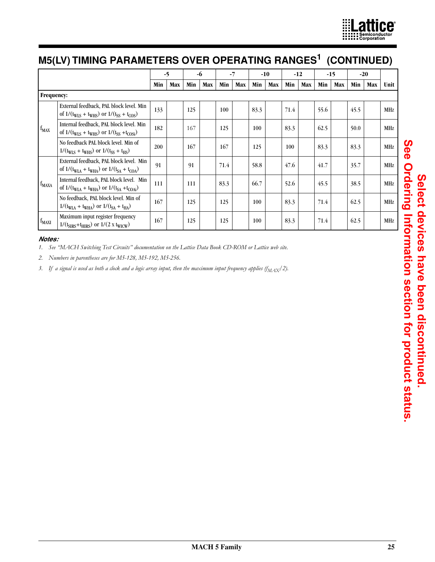

# **M5(LV) TIMING PARAMETERS OVER OPERATING RANGES1 (CONTINUED)**

|                   |                                                                                                                      |     | $-5$ |     | -6  | $-7$ |     |      | $-10$ |      | -12 |      | $-15$ |      | $-20$ |      |
|-------------------|----------------------------------------------------------------------------------------------------------------------|-----|------|-----|-----|------|-----|------|-------|------|-----|------|-------|------|-------|------|
|                   |                                                                                                                      | Min | Max  | Min | Max | Min  | Max | Min  | Max   | Min  | Max | Min  | Max   | Min  | Max   | Unit |
| <b>Frequency:</b> |                                                                                                                      |     |      |     |     |      |     |      |       |      |     |      |       |      |       |      |
|                   | External feedback, PAL block level. Min<br>of $1/(t_{WIS} + t_{WHS})$ or $1/(t_{SS} + t_{COS})$                      | 133 |      | 125 |     | 100  |     | 83.3 |       | 71.4 |     | 55.6 |       | 45.5 |       | MHz  |
| $f_{MAX}$         | Internal feedback, PAL block level. Min<br>of $1/(t_{WIS} + t_{WHS})$ or $1/(t_{SS} + t_{COSi})$                     | 182 |      | 167 |     | 125  |     | 100  |       | 83.3 |     | 62.5 |       | 50.0 |       | MHz  |
|                   | No feedback PAL block level. Min of<br>$1/(t_{WIS} + t_{WHS})$ or $1/(t_{SS} + t_{HS})$                              | 200 |      | 167 |     | 167  |     | 125  |       | 100  |     | 83.3 |       | 83.3 |       | MHz  |
|                   | External feedback, PAL block level. Min<br>of $1/(t_{\text{WIA}} + t_{\text{WHA}})$ or $1/(t_{SA} + t_{\text{COA}})$ | 91  |      | 91  |     | 71.4 |     | 58.8 |       | 47.6 |     | 41.7 |       | 35.7 |       | MHz  |
| $f_{MAXA}$        | Internal feedback, PAL block level. Min<br>of $1/(t_{\text{WIA}} + t_{\text{WHA}})$ or $1/(t_{SA} + t_{COAi})$       | 111 |      | 111 |     | 83.3 |     | 66.7 |       | 52.6 |     | 45.5 |       | 38.5 |       | MHz  |
|                   | No feedback, PAL block level. Min of<br>$1/(t_{\text{WLA}} + t_{\text{WHA}})$ or $1/(t_{SA} + t_{\text{HA}})$        | 167 |      | 125 |     | 125  |     | 100  |       | 83.3 |     | 71.4 |       | 62.5 |       | MHz  |
| $f_{MAXI}$        | Maximum input register frequency<br>$1/(t_{SIRS}+t_{HIRS})$ or $1/(2 \times t_{WICW})$                               | 167 |      | 125 |     | 125  |     | 100  |       | 83.3 |     | 71.4 |       | 62.5 |       | MHz  |

#### *Notes:*

*1. See "MACH Switching Test Circuits" documentation on the Lattice Data Book CD-ROM or Lattice web site.*

*2. Numbers in parentheses are for M5-128, M5-192, M5-256.*

3. If a signal is used as both a clock and a logic array input, then the maximum input frequency applies  $(f_{MAX}/2)$ .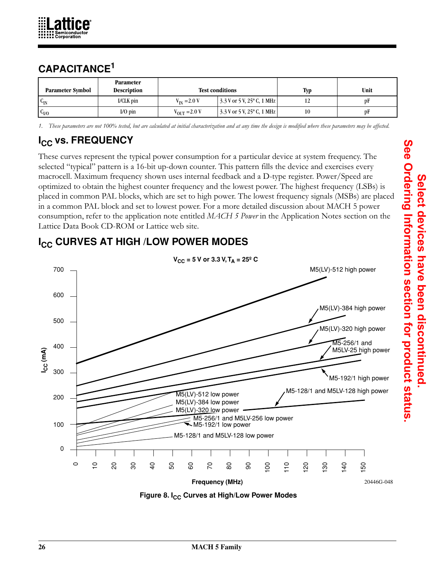

# **CAPACITANCE<sup>1</sup>**

| <b>Parameter Symbol</b> | <b>Parameter</b><br><b>Description</b> |                          | <b>Test conditions</b>                                                       | Typ | Unit |
|-------------------------|----------------------------------------|--------------------------|------------------------------------------------------------------------------|-----|------|
| $c_{\rm IN}$            | I/CLK pin                              | $V_{IN} = 2.0 V$         | $\frac{3.3 \text{ V} \text{ or } 5 \text{ V}}{25^{\circ} \text{ C}}$ , 1 MHz |     | DF   |
| c <sub>V0</sub>         | $I/O$ pin                              | $V_{\text{OUT}} = 2.0 V$ | $\frac{3.3 \text{ V} \text{ or } 5 \text{ V}$ , 25° C, 1 MHz                 |     | рF   |

*1. These parameters are not 100% tested, but are calculated at initial characterization and at any time the design is modified where these parameters may be affected.*

# **I<sub>CC</sub> vs. FREQUENCY**

These curves represent the typical power consumption for a particular device at system frequency. The selected "typical" pattern is a 16-bit up-down counter. This pattern fills the device and exercises every macrocell. Maximum frequency shown uses internal feedback and a D-type register. Power/Speed are optimized to obtain the highest counter frequency and the lowest power. The highest frequency (LSBs) is placed in common PAL blocks, which are set to high power. The lowest frequency signals (MSBs) are placed in a common PAL block and set to lowest power. For a more detailed discussion about MACH 5 power consumption, refer to the application note entitled *MACH 5 Power* in the Application Notes section on the Lattice Data Book CD-ROM or Lattice web site.



**I<sub>CC</sub> CURVES AT HIGH /LOW POWER MODES** 

**Figure 8. I<sub>CC</sub> Curves at High/Low Power Modes**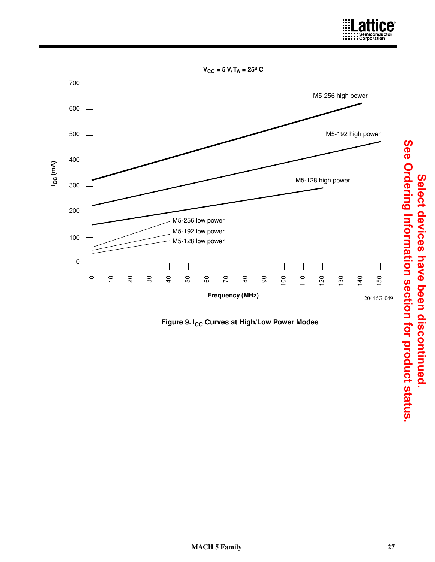

 $V_{CC}$  = 5 V, T<sub>A</sub> = 25<sup>o</sup> C



Figure 9. I<sub>CC</sub> Curves at High/Low Power Modes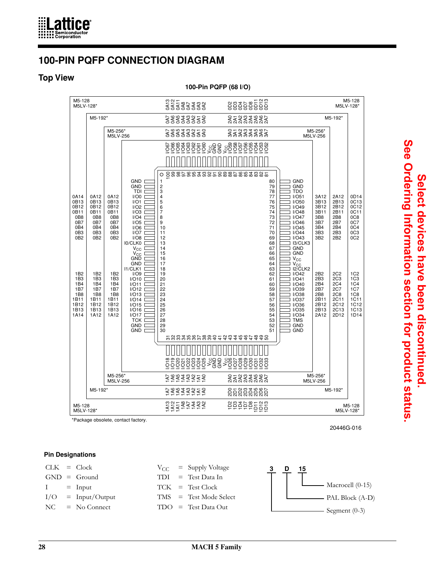

## **100-PIN PQFP CONNECTION DIAGRAM**

#### **Top View**

**100-Pin PQFP (68 I/O)**



\*Package obsolete, contact factory.

20446G-016

#### **Pin Designations**

|             | $CLK = Clock$        |  | $V_{CC}$ = Supply Voltage | υ | - 15 |                                        |
|-------------|----------------------|--|---------------------------|---|------|----------------------------------------|
|             | $GND = Ground$       |  | $TDI = Test Data In$      |   |      |                                        |
| $I = Input$ |                      |  | $TCK = Test Clock$        |   |      | $\boxed{\phantom{1}}$ Macrocell (0-15) |
|             | $I/O = Input/Output$ |  | $TMS = Test Mode Select$  |   |      | $\longrightarrow$ PAL Block (A-D)      |
|             | $NC = No Connect$    |  | $TDO = Test Data Out$     |   |      | $\longrightarrow$ Segment (0-3)        |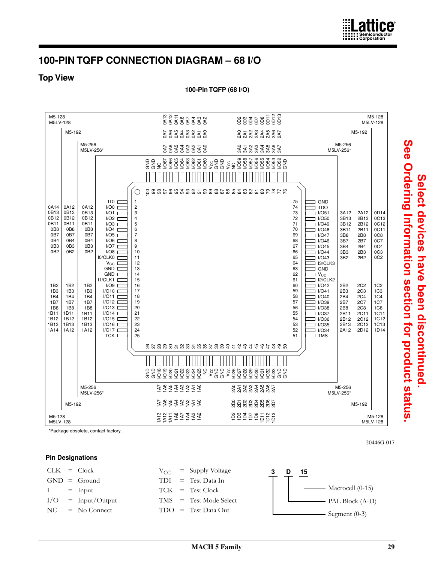## **100-PIN TQFP CONNECTION DIAGRAM – 68 I/O**

#### **Top View**

**100-Pin TQFP (68 I/O)** 



\*Package obsolete, contact factory.

#### **Pin Designations**

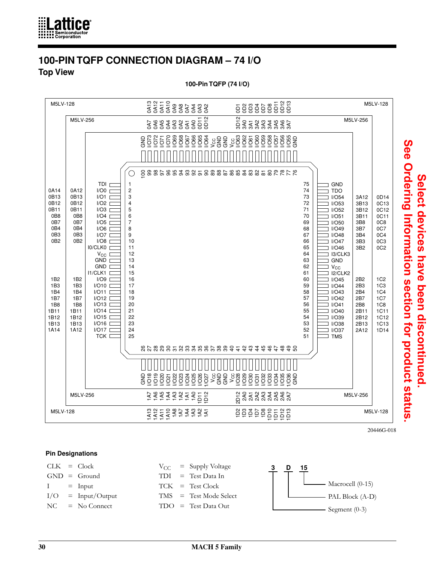

### **100-PIN TQFP CONNECTION DIAGRAM – 74 I/O Top View**

**100-Pin TQFP (74 I/O)** 



20446G-018

**Select devices have been discontinued.** 

Select devices have been discontinued

#### **Pin Designations**

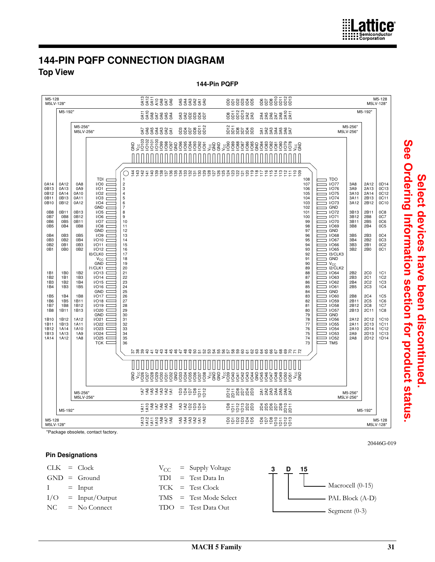## **144-PIN PQFP CONNECTION DIAGRAM Top View**



\*Package obsolete, contact factory.

#### **Pin Designations**

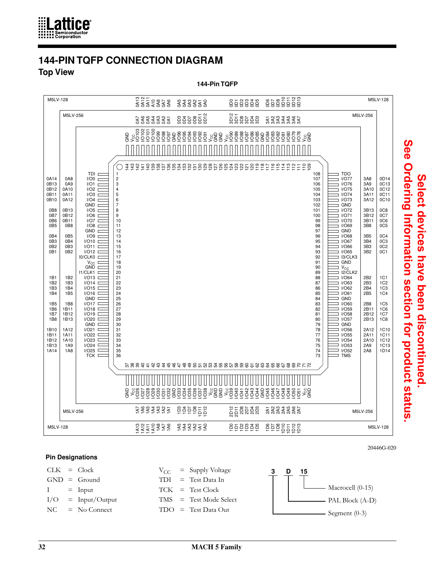

### **144-PIN TQFP CONNECTION DIAGRAM Top View**

**144-Pin TQFP**



#### **Pin Designations**



See Ordering Information section for product status **See Ordering Information section for product status.**Select devices have been discontinued **Select devices have been discontinued.**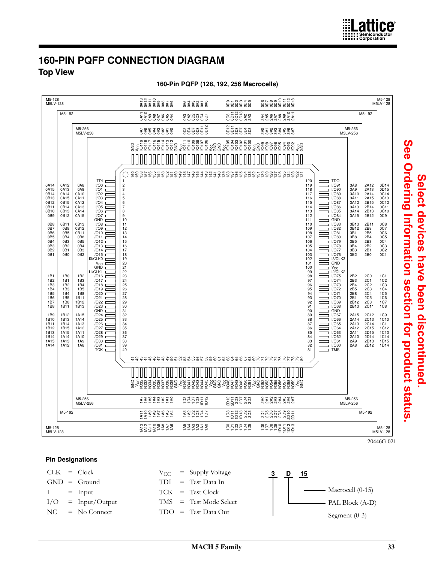

## **160-PIN PQFP CONNECTION DIAGRAM Top View**

M5-128 M5LV-128 M5-128 M5LV-128 na 112<br>0<br>0<br>0<br>0<br>0<br>0<br>0<br>0<br>0<br>0<br>0<br>0<br>0<br>0<br>0<br>0<br>0 0D6 0D7 0D8 0D9 0D10 0D11 0D12 0D13 858888 53333<br>533333 M5-192 M5-192 0A11 0A10 0A9 0A8 0A7 0A6 0A5 0A4 855588<br>855588 \*\*\*\*\*\*\*\*\*<br>\*\*\*\*\*\*\*\* 338835 gggggā និទ្ធិទីខ្លួន M5-256 M5LV-256 M5-256<br>M5LV-256 88888888<br>8888888 2523382<br>2533383 UND<br>UNDISSISSI<br>UNDISSISSI agas<br>ISTOS<br>ISTOS SE SE SE<br>PRESESSE<br>PRESESSE GND GOSSOS<br>1998<br>Des Contras VO<br>Des Contras VO e<br>Ga VCC  $\int$ Ó 88868888588 148 147 146 145<br>1 144  $\frac{3}{4}$ <u>প</u><br>শ 141  $\frac{40}{1}$ ទីនូនទីក្នុងដូចទីនូនទីក្នុងដូចទីក TDI<br>I/O0<br>I/O1<br>I/O2 1 2 3 4 5 6 7 8 9 10 11 2 3 4 5 6 7 8 9 0 1 2 2 2 2 3 4 5 6 7 8 9 120 119 118 117 116 115 114 TDO I/O91 I/O90 0A14 0A15 0A12 0A13 0A14 0A8 0A9 0A10 3A8 3A9 3A10 2A12 2A13 2A14 0D14<br>0D15<br>0C14<br>0C13<br>0C12 0B14 0B13 0B12 0B11 I/O89 I/O88 I/O87 I/O86 0A15 0B15 0B14 0A11 0A12 0A13 I/O3 I/O4 I/O5 3A11 3A12 3A13 2A15 2B15 2B14 0B10 0B9 0B13 0B12 0A14 0A15 I/O6 I/O7 GND 113 112 111 110 109 108 107 I/O85 I/O84 GND 3A14 3A15 2B13 2B12 0C10 0C9 0B13 2B11 0B8 0B11 I/O8 I/O9 I/O10 I/O11 I/O83 I/O82 I/O81 3B13<br>3B12<br>3B11<br>3B8 0C8 0C7 0C6 0C5 0B7 0B6 0B5 0B8 0B5 0B12 0B11 2B8 2B5  $0<sub>B4</sub>$  $n$ Ba 2B4 I/O80 I/O79 I/O78 0B3 0B4 0B3 0B5 0B4 I/O12 I/O13 I/O14 I/O15 I0/CLK0 105<br>104<br>102<br>100<br>998<br>97<br>96<br>95<br>94<br>93<br>92<br>91<br>90<br>88<br>87<br>86<br>85<br>84<br>83<br>82<br>81 3B5 3B4 2B3 2B2 0C4 0C3 0C2 0C1 0B2 0B1 3B3 2B1 0B2 0B1 0B3 0B2 I/O77 I/O76 I3/CLK3 GND 3B2  $2B0$ 0B0 V<sub>CC</sub><br>GND<br>I1/CLK1 V<sub>CC</sub><br>I2/CLK2 1B1 1B0 1B2 2B2 2C0 I/O16 I/O17 I/O18 I/O19 I/O20 I/O21 I/O22 I/O75 I/O74 I/O73 I/O72 1C1 1C2 1C3 1C4 1C5 1C6 1C7 1B2 1B3 1B4 1B5 1B6 1B7 1B1 1B2 1B3 1B3 1B4 1B5 2B3 2B4 2B5 2C1<br>2C2<br>2C3<br>2C4<br>2C5<br>2C8 1B8 1B4 1B5 1B8 I/O71 I/O70 I/O69 2B8 2B11 2B12 1B11 1B12 1B8 1B11 1B13 2B13 2C11 1C8 I/O23 GND I/O24 I/O25 I/O26 I/O27 I/O28 30<br>31<br>32<br>33<br>34<br>35<br>36<br>37<br>38<br>39<br>39 I/O68 GND I/O67 1B9 1B12 1A15 2A15 2A14 2C12 2C13 2C14 2C15 2D15 1C9 1C10 1C11 1C12 1C13 1C14 1D15 1D14 1B10 1B13 1A14 1A13 1A12 1A11 1A10 1A9 1A8 I/O66 I/O65 I/O64 I/O63 1B11 1B12 1B13 1B14 1B15 2A13 2A12 2A11 1A15 1A14 1B14 2410 2D14 I/O29 I/O30 I/O62 I/O61 2D13 1A15 1A14 1A13 1A12 2A9 2A8 I/O31 2D12 I/O60 TMS TCK 41 42 43 44 45 46 47 48 49 50 51 52 53 54 55 56 57 58 59 60 61 62 63 64 65 66 67 68 69 70 71 72 73 74 75 76 77 78 79 80 GND VCC I/O32 I/O33 I/O34 I/O35 I/O36 I/O37 I/O38 I/O39 GND VCC I/O40 I/O41 I/O42 I/O43 I/O44 I/O45 VCC GND GND VCC I/O46 I/O47 I/O48 I/O49 I/O50 I/O51 VCC GND I/O52 I/O53 I/O54 I/O55 I/O56 I/O57 I/O58 I/O59 VCC GND M5-256 M5LV-256 2222222 e a e e e e ខ្លួនិឌីឌី 2<br>22233333<br>223 M5-256<br>M5LV-256 M5-192 M5-192 12382888<br>12382888 1A3 1A2 1D2 1D3 1D4 1D7 20208 និងីនីនីនីក្ត 22222<br>1425<br>1425 문혼온 돈은 858888 e e e e e e e e M5-128 M5LV-128 M5-128 M5LV-128

**160-Pin PQFP (128, 192, 256 Macrocells)**

See Ordering Information section for product status **See Ordering Information section for product status.**Select devices have been discontinued **Select devices have been discontinued.** 

#### **Pin Designations**

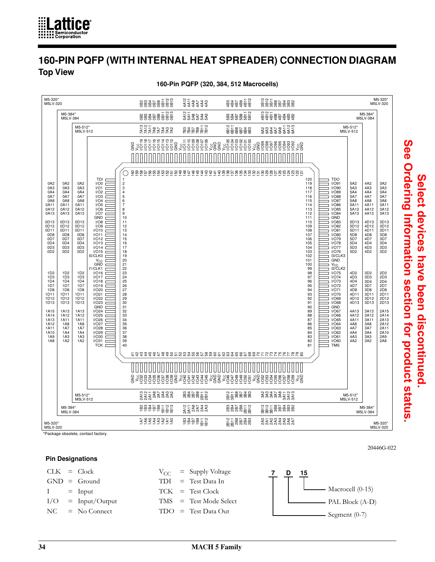

## **160-PIN PQFP (WITH INTERNAL HEAT SPREADER) CONNECTION DIAGRAM Top View**





\*Package obsolete, contact factory.

#### **Pin Designations**

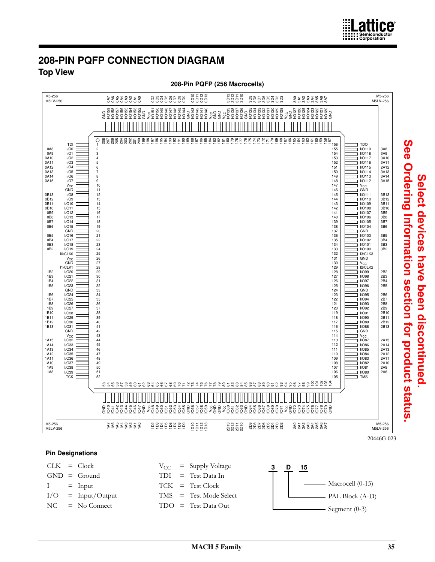

### **208-PIN PQFP CONNECTION DIAGRAM Top View**



**Pin Designations**



**Select devices have been discontinued.**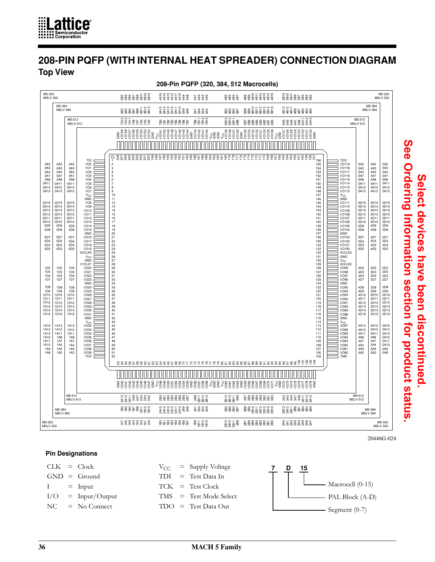

## **208-PIN PQFP (WITH INTERNAL HEAT SPREADER) CONNECTION DIAGRAM Top View**



#### **208-Pin PQFP (320, 384, 512 Macrocells)**

20446G-024

**Select devices have been discontinued.** 

Select devices have been discontinued

**See Ordering Information section for product status.**

See Ordering Information section for product status

#### **Pin Designations**

 $CLK = Clock$   $V_{CC} = Supply Voltage$   $7 \quad D \quad 15$  $GND = Ground$  $I = Input$  $I/O = Input/Output$  $NC = No$  Connect TDI = Test Data In TCK = Test Clock TMS = Test Mode Select TDO = Test Data Out Macrocell (0-15) PAL Block (A-D) Segment (0-7)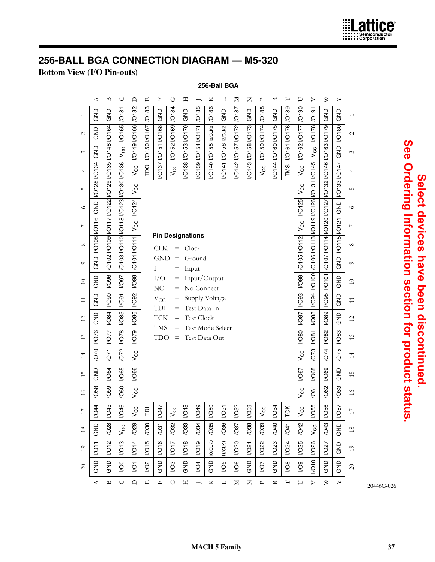

# **256-BALL BGA CONNECTION DIAGRAM — M5-320**

#### **Bottom View (I/O Pin-outs)**

#### **256-Ball BGA**

|                 | ≺                     | $\mathbf{a}$                                  | U                    | ≏                    | 띠                    | Щ                                     | ↺                  | Ξ                   |                                   | ⊻             | ᅴ                  | ×                         | Z                   | ≏             | ≃                 |                   | ⊃                   | ⊳                                  | ⋗                                                              | ≻                        |                 |
|-----------------|-----------------------|-----------------------------------------------|----------------------|----------------------|----------------------|---------------------------------------|--------------------|---------------------|-----------------------------------|---------------|--------------------|---------------------------|---------------------|---------------|-------------------|-------------------|---------------------|------------------------------------|----------------------------------------------------------------|--------------------------|-----------------|
|                 | GND                   | GND                                           |                      |                      |                      | <b>GND</b>                            |                    | GND                 |                                   | I/O186        | GND                |                           | <b>GND</b>          | I/O188        | GND               |                   |                     |                                    | GND                                                            | <b>GND</b>               |                 |
| $\mathcal{L}$   | <b>GND</b>            |                                               | <b>I/O165 I/O181</b> | //O149 //O166 //O182 |                      |                                       |                    |                     |                                   | I3/CLK3       | I2/CLK2            |                           |                     |               |                   |                   | /O162  /O177  /O190 | I/O178 I/O191                      |                                                                | <b>I/O180</b>            | $\sim$          |
| 3               | <b>GND</b>            | I/O148   /O164                                | $V_{\rm CC}$         |                      | I/O150 I/O167 I/O183 | /O137  /O151  /O168                   | VO152 VO169 VO184  | /O138  /O153  /O170 | /O139   /O154   /O171   /O185     |               |                    | VO142 VO157 VO1 72 VO1 87 | /O143  /O158  /O173 | I/O159 I/O174 | /O144 /O160 /O175 | VO161 VO176 VO189 |                     | $V_{\rm CC}$                       |                                                                | <b>GND</b>               | 3               |
| 4               |                       |                                               | I/O136               | Vcc                  | pa                   |                                       | $V_{CC}$           |                     |                                   | /O140   /O155 | <b>VO141 VO156</b> |                           |                     | vcc           |                   | TMS               | $V_{CC}$            | <b>IGP101</b>                      |                                                                |                          | 4               |
| LO              | I/O128 I/O134         | /O102   /O109   /O117   /O122   /O129   /O135 | $\overline{100}$     | V <sub>CC</sub>      |                      |                                       |                    |                     |                                   |               |                    |                           |                     |               |                   |                   | V <sub>CC</sub>     |                                    | I/O107  I/O114  I/O120  I/O127  I/O132  I/O146  I/O163  I/O179 | I/O133 I/O147            | 5               |
| $\circ$         | <b>GND</b>            |                                               |                      | I/O124               |                      |                                       |                    |                     |                                   |               |                    |                           |                     |               |                   |                   | I/O125              | //O100 0106 010 113 0119 0126 0131 |                                                                | <b>GND</b>               | $\circ$         |
| $\overline{ }$  | <b>I/O108 I/O116 </b> |                                               | /O110  /O118  /O123  | $V_{\rm CC}$         |                      |                                       |                    |                     |                                   |               |                    |                           |                     |               |                   |                   | $V_{\rm CC}$        |                                    |                                                                | $\overline{\mathcal{S}}$ | $\overline{ }$  |
| $\infty$        |                       |                                               |                      |                      |                      | <b>Pin Designations</b><br><b>CLK</b> | $=$                |                     | Clock                             |               |                    |                           |                     |               |                   |                   |                     |                                    |                                                                | <b>IO115 IO1</b>         | $\infty$        |
| $\circ$         | <b>GND</b>            |                                               | $\overline{103}$     | <b>ICO104/O111</b>   |                      | <b>GND</b><br>I                       | =<br>$=$           |                     | Ground<br>Input                   |               |                    |                           |                     |               |                   |                   | //O105  /O112       |                                    |                                                                | GND                      | $\circ$         |
| $\overline{10}$ | GND                   | 1/096                                         | <b>L6O/I</b>         | 1860/1               |                      | I/O<br>NC                             | Ξ<br>$=$           |                     | Input/Output<br>No Connect        |               |                    |                           |                     |               |                   |                   | <b>C60/1</b>        |                                    | OT                                                             | GND                      | $\overline{10}$ |
| $\Xi$           | <b>GND</b>            | <b>UO90</b>                                   | 1001                 | <b>NO92</b>          |                      | $V_{\rm CC}$<br>TDI                   | $=$<br>$=$         |                     | Supply Voltage<br>Test Data In    |               |                    |                           |                     |               |                   |                   | <b>I/O93</b>        | <b>NO94</b>                        | <b>1/095</b>                                                   | GND                      | $\Xi$           |
| $\overline{c}$  | GND                   | <b>I/O84</b>                                  | <b>1/085</b>         | 1/086                |                      | <b>TCK</b>                            | =                  |                     | <b>Test Clock</b>                 |               |                    |                           |                     |               |                   |                   | <b>VO87</b>         | 1/088                              | <b>I/O89</b>                                                   | GND                      | $\overline{c}$  |
| 13              | <b>I/O76</b>          | <b>NO77</b>                                   | <b>1078</b>          | 620/1                |                      | <b>TMS</b><br>TDO                     | $=$<br>$=$         |                     | Test Mode Select<br>Test Data Out |               |                    |                           |                     |               |                   |                   | <b>UO80</b>         | 1001                               | <b>VO82</b>                                                    | <b>I/O83</b>             | 13              |
| $\overline{1}$  | <b>NO70</b>           | 1001                                          | <b>NO72</b>          | $V_{CC}$             |                      |                                       |                    |                     |                                   |               |                    |                           |                     |               |                   |                   | $V_{CC}$            | <b>NO73</b>                        | <b>NO74</b>                                                    | <b>I/O75</b>             | $\overline{4}$  |
| S               | GND                   | <b>I/O64</b>                                  | <b>I/O65</b>         | 1/066                |                      |                                       |                    |                     |                                   |               |                    |                           |                     |               |                   |                   | <b>NO67</b>         | <b>VO68</b>                        | <b>I/O69</b>                                                   | GND                      | 15              |
| $\geq$          | <b>I/O58</b>          | <b>I/O59</b>                                  | <b>I/O60</b>         | $V_{\rm CC}$         |                      |                                       |                    |                     |                                   |               |                    |                           |                     |               |                   |                   | $V_{CC}$            | <b>190/l</b>                       | <b>VO62</b>                                                    | <b>I/O63</b>             | $\frac{1}{6}$   |
| $\Box$          | <b>I/O44</b>          | <b>I/O45</b>                                  | <b>I/O46</b>         | CC<br>>              | $\overline{\Omega}$  | <b>I/O47</b>                          | ပ္ပ<br>>           | <b>I/O48</b>        | <b>I/O49</b>                      | <b>I/O50</b>  | 1051               | <b>I/O52</b>              | <b>I/O53</b>        | ပ္ပ<br>$\geq$ | <b>I/O54</b>      | <b>TCK</b>        | CC<br>>             | <b>I/O55</b>                       | <b>I/O56</b>                                                   | <b>VO57</b>              | $\overline{ }$  |
| $18\,$          | GND                   | <b>I/O28</b>                                  | $V_{\rm CC}$         | <b>NO29</b>          | <b>I/O30</b>         | <b>I/O31</b>                          | <b>VO32</b>        | <b>I/O33</b>        | <b>NO34</b>                       | <b>//O35</b>  | <b>I/O36</b>       | <b>VO37</b>               | <b>I/O38</b>        | <b>I/O39</b>  | <b>I/O40</b>      | 1041              | <b>VO42</b>         | $V_{\rm CC}$                       | <b>I/O43</b>                                                   | <b>GND</b>               | $18\,$          |
| $10$            | $\overline{1011}$     | <b>I/O12</b>                                  | <b>I/O13</b>         | <b>NO14</b>          | <b>I/O15</b>         | <b>I/O16</b>                          | 1017               | <b>I/O18</b>        | <b>I/O19</b>                      | IO/CLKO       | <b>IT/CLK1</b>     | <b>I/O20</b>              | <b>I/O21</b>        | <b>VO22</b>   | <b>I/O23</b>      | <b>VO24</b>       | <b>I/O25</b>        | <b>VO26</b>                        | <b>VO27</b>                                                    | <b>GND</b>               | $\overline{1}$  |
| $\infty$        | GND                   | GND                                           | $\overline{5}$       | $\overline{Q}$       | $\frac{2}{3}$        | <b>GND</b>                            | $\overline{2}$     | GND                 | $\overline{6}$                    | <b>GND</b>    | $\overline{6}$     | $\frac{8}{2}$             | GND                 | VO/           | <b>GND</b>        | $\overline{8}$    | $\overline{5}$      | 010                                | <b>GND</b>                                                     | <b>GND</b>               | $\approx$       |
|                 | 4                     | $\mathbf{\underline{\square}}$                | $\cup$               | $\Box$               | $\Box$               | щ                                     | $\circlearrowleft$ | Ξ                   |                                   | Χ             | $\overline{a}$     | Σ                         | Z                   | ≏             | ≃                 | $\vdash$          | $\Box$              | $\triangleright$                   | ≥                                                              | γ                        |                 |

See Ordering Information section for product status. **See Ordering Information section for product status.**Select devices have been discontinued. **Select devices have been discontinued.**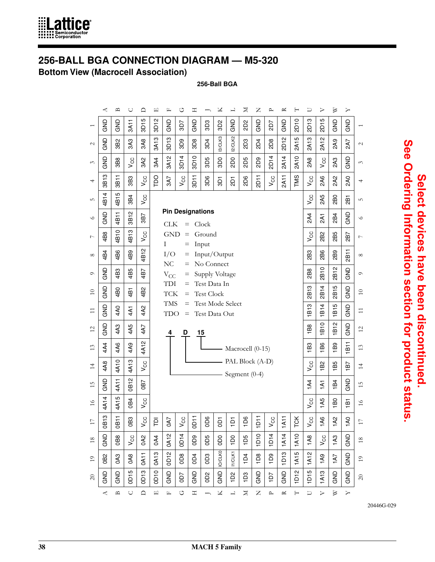

# **256-BALL BGA CONNECTION DIAGRAM — M5-320**

**Bottom View (Macrocell Association)**

**256-Ball BGA**

|                | ⋖                   | ≏               | U               | ≏                   | 吅                   | 匞                        | ↺                          | 工                         |                                   | ⊻               | 凵              | $\geq$                             | Z           | ≏                | ≃                   |                  | ⊃                   |                     | ⋗                    | ≻                             |                 |
|----------------|---------------------|-----------------|-----------------|---------------------|---------------------|--------------------------|----------------------------|---------------------------|-----------------------------------|-----------------|----------------|------------------------------------|-------------|------------------|---------------------|------------------|---------------------|---------------------|----------------------|-------------------------------|-----------------|
|                | <b>GND</b>          | <b>GND</b>      | 3A11            | 5<br>$\overline{5}$ | Ν<br>$\overline{5}$ | <b>GND</b>               | 3D7                        | <b>GND</b>                | 3D3                               | 3D <sub>2</sub> | <b>GND</b>     | 2D2                                | <b>GNG</b>  | 2D7              | <b>GND</b>          | 2D <sub>10</sub> | ო<br>$\overline{2}$ | Ю<br>$\overline{5}$ | GND                  | <b>GND</b>                    |                 |
| $\mathcal{L}$  | GND                 | 3B2             | 3A3             | 3A8                 | ო<br>3A1            | ო<br>$\overline{5}$      | 8D <sub>9</sub>            | 3D8                       | 3D4                               | 3/CLK3          | 2/CLK2         | <b>2D3</b>                         | 2D4         | 2D <sub>8</sub>  | N<br>$\overline{a}$ | ம<br>2A1         | <b>2A13</b>         | Ν<br>2A1            | 2A9                  | 2A7                           | $\mathcal{L}$   |
| 3              | <b>GND</b>          | 3B8             | V <sub>CC</sub> | 3A2                 | 3A4                 | $\mathbf{\alpha}$<br>3A1 | 3D14                       | $\circ$<br>$\overline{5}$ | 3D5                               | <b>OCE</b>      | <b>SQ3</b>     | <b>2D5</b>                         | <b>802</b>  | <b>2D14</b>      | 2A14                | 2A10             | 2A8                 | $V_{\rm CC}$        | 2A3                  | GND                           | 3               |
| 4              | 3B13                | 3B11            | 3B3             | $V_{CC}$            | po                  | 3A7                      | $V_{CC}$                   | 3D11                      | 3D6                               | 501             | $\overline{5}$ | <b>2D6</b>                         | 2D11        | $V_{CC}$         | 2A11                | TMS              | $V_{\rm CC}$        | 2A6                 | 2A2                  | <b>2A0</b>                    | 4               |
| 5              | 4B14                | Ю<br>4B1        | 3B4             | $V_{\rm CC}$        |                     |                          |                            |                           |                                   |                 |                |                                    |             |                  |                     |                  | $V_{\rm CC}$        | 2A5                 | <b>2BO</b>           | 2B1                           | S               |
| $\circ$        | GND                 | 4B11            | Ν<br>3B1        | 3B7                 |                     | <b>CLK</b>               | $=$                        |                           | <b>Pin Designations</b><br>Clock  |                 |                |                                    |             |                  |                     |                  | 2A4                 | 2A1                 | 2B4                  | <b>GND</b>                    | $\circ$         |
| $\overline{ }$ | 4B8                 | B10             | ო<br>4B1        | $V_{\rm CC}$        |                     | <b>GND</b><br>Ι          | $=$<br>Ξ                   |                           | Ground<br>Input                   |                 |                |                                    |             |                  |                     |                  | $V_{\rm CC}$        | 2B <sub>2</sub>     | 2B5                  | 2B7                           | $\overline{ }$  |
| $\infty$       | 4B4                 | 4B6             | 4B9             | 4B12                |                     | I/O<br>N <sub>C</sub>    | $=$<br>$=$                 |                           | Input/Output<br>No Connect        |                 |                |                                    |             |                  |                     |                  | 2B3                 | ဖ<br>ă              | 2B9                  | 2B11                          | $\infty$        |
| $\circ$        | GND                 | 4B3             | 4B5             | 4B7                 |                     | $V_{CC}$                 | Ξ                          |                           | Supply Voltage                    |                 |                |                                    |             |                  |                     |                  | 2B8                 | 0<br>2B1            | <b>2B12</b>          | GND                           | $\circ$         |
| $\approx$      | GND                 | 4B0             | 4B              | 4B2                 |                     | TDI<br><b>TCK</b>        | $=$<br>$=$                 |                           | Test Data In<br><b>Test Clock</b> |                 |                |                                    |             |                  |                     |                  | ო<br>2B1            | 4<br>2B1            | Ю<br>2B1             | <b>GND</b>                    | $\Xi$           |
| $\equiv$       | <b>GND</b>          | 4A0             | 4A1             | 4A2                 |                     | <b>TMS</b><br>TDO        | $=$<br>$=$                 |                           | Test Mode Select<br>Test Data Out |                 |                |                                    |             |                  |                     |                  | 1B <sub>13</sub>    | 1B14                | 1B <sub>15</sub>     | GND                           | $\overline{11}$ |
| $\overline{c}$ | GND                 | 4A3             | 4A5             | 4A7                 |                     | 4                        | D                          |                           | 15                                |                 |                |                                    |             |                  |                     |                  | 1B8                 | $\frac{1}{2}$       | Ν<br>짇               | GND                           | $\overline{2}$  |
| 3              | 4A4                 | 4A6             | 4A9             | 4A12                |                     |                          |                            |                           |                                   |                 |                | Macrocell (0-15)                   |             |                  |                     |                  | 1B3                 | ဖ<br>≃              | 1B9                  | 1B11                          | 13              |
| $\overline{1}$ | 4A8                 | 4A10            | 4A13            | $V_{CC}$            |                     |                          |                            |                           |                                   |                 |                | PAL Block (A-D)<br>Segment $(0-4)$ |             |                  |                     |                  | $V_{\rm CC}$        | 5S                  | В5                   | 187                           | $\overline{4}$  |
| 5              | GND                 | 4A11            | Ν<br>b5         | <b>0B7</b>          |                     |                          |                            |                           |                                   |                 |                |                                    |             |                  |                     |                  | 1A4                 | $\overline{5}$      | 1B4                  | GND                           | 15              |
| $\geq$         | 4A14                | 4A15            | 0B4             | $V_{\rm CC}$        |                     |                          |                            |                           |                                   |                 |                |                                    |             |                  |                     |                  | $V_{\rm CC}$        | 1A5                 | 1B0                  | $\frac{1}{1}$                 | $16$            |
| $\Box$         | ო<br>$\overline{B}$ | 0B11            | සි<br>$\circ$   | 8<br>⋗              | $\overline{\Omega}$ | 5<br>O                   | ပ္ပ<br>>                   | 0D11                      | OD6                               | $\overline{5}$  | $\overline{a}$ | 1D6                                | 1D11        | CC.<br>>         | $1$ A11             | <b>TCK</b>       | <b>CC</b><br>>      | Æ6                  | Q)<br>$\overline{ }$ | Q<br>$\overline{\phantom{0}}$ | 17              |
| $\frac{8}{18}$ | GND                 | <b>OB8</b>      | $V_{CC}$        | <b>OA2</b>          | 0A4                 | 0A12                     | <b>DD14</b>                | OD9                       | <b>GOS</b>                        | OOO             | $\overline{1}$ | 1D5                                | <b>1A14</b> | <b>1A10</b>      | 1A8                 | $V_{CC}$         | 1A3                 | <b>GND</b>          | $18\,$               |                               |                 |
| $\overline{1}$ | <b>OB2</b>          | OA <sub>3</sub> | <b>0A8</b>      | 0A11                | 0A13                | <b>OD12</b>              | 0 <sup>0<sup>8</sup></sup> | 0D4                       | OD3                               | <b>IO/CLKO</b>  | <b>IT/CLK1</b> | 1D4                                | 1D8         | 1D <sub>13</sub> | <b>1A15</b>         | <b>1A12</b>      | <b>PV1</b>          | 1A7                 | <b>GND</b>           | $\overline{1}$                |                 |
| $\Omega$       | <b>GND</b>          | <b>GND</b>      | <b>QD15</b>     | 0D13                | 0D10                | GND                      | <b>COD</b>                 | GND                       | QD <sub>2</sub>                   | <b>GND</b>      | 1D2            | 1D3                                | <b>GND</b>  | 107              | GND                 | 1D <sub>12</sub> | 1D <sub>15</sub>    | ო<br>$\overline{5}$ | GND                  | <b>GND</b>                    | $\gtrsim$       |
|                | $\prec$             | $\mathbf{u}$    | $\cup$          | $\Box$              | 띠                   | Щ                        | U                          | $\mathbb{H}$              |                                   | Χ               | 凵              | $\mathbf{N}$                       | Z           | $\mathsf{P}$     | ≃                   | $\vdash$         | $\cup$              | ➢                   | ≥                    | Σ                             |                 |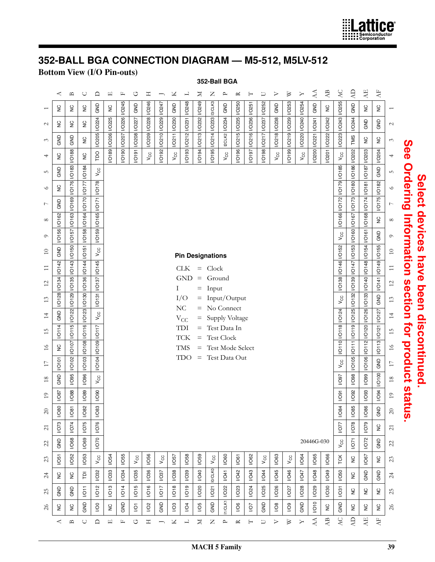

# **352-BALL BGA CONNECTION DIAGRAM — M5-512, M5LV-512**

## **Bottom View (I/O Pin-outs)**

|                       |                      |                       |                               |                               |                    |              |                    |                    |              |                   |                          |                 |                 | 352-Ball BGA                      |                  |                |              |                  |                |               |              |                 |                            |                |                                                |                                      |                     |                                                 |
|-----------------------|----------------------|-----------------------|-------------------------------|-------------------------------|--------------------|--------------|--------------------|--------------------|--------------|-------------------|--------------------------|-----------------|-----------------|-----------------------------------|------------------|----------------|--------------|------------------|----------------|---------------|--------------|-----------------|----------------------------|----------------|------------------------------------------------|--------------------------------------|---------------------|-------------------------------------------------|
|                       | ≺                    | $\mathbf{u}$          | $\cup$                        | ≏                             | $\boxed{1}$        | $\square$    | O                  | Η                  |              | ×                 | コ                        | ≍               | Z               | $\sim$                            | ≃                | H              | U            | ⊳                | ≥              | $\rightarrow$ | AA           | $\overline{AB}$ | AC                         | $\overline{A}$ | $\mathbf{A}\mathbf{E}$                         | $\mathbf{A}\mathbf{F}$               |                     |                                                 |
|                       | $\frac{C}{Z}$        | $\mathop{\mathsf{S}}$ | $\frac{0}{2}$                 | GND                           | $\frac{C}{C}$      | <b>IO245</b> | GND                | <b>IO246</b>       | I/O247       | GND               | <b>IO248</b>             | <b>IGRZO</b>    | I3/CLK3         | GND                               | <b>VO250</b>     | <b>IG251</b>   | I/O252       | GND              | I/O253         | I/O254        | GND          | $\gtrsim$       | <b>I/O255</b>              | GND            | $\stackrel{\textstyle\circ}{\vphantom{\circ}}$ | $\frac{0}{2}$                        |                     |                                                 |
| $\mathcal{L}$         | š                    | $\gtrsim$             | $\mathop{\mathsf{S}}$         | <b>IO224</b>                  | <b>VO206 VO225</b> | <b>VO226</b> |                    | VO209 VO228        | VO210 VO229  | VO211 VO230       | I/O212   I/O231          | VO213 VO232     | VO214 VO233     | <b>VO234</b>                      | I/O215   I/O235  | VO216 VO236    |              | VO218 VO238      | I/O219 I/O239  | VO220 VO240   |              |                 | VO223 VO243                | <b>IO244</b>   | GND                                            | GND                                  | $\mathcal{L}$       |                                                 |
| $\tilde{\phantom{0}}$ | GND                  | GND                   | $\frac{0}{2}$                 | <b>VO205</b>                  |                    | <b>VO207</b> | VO208 VO227        |                    |              |                   |                          |                 |                 | I2CLK2                            |                  |                | VO217 VO237  |                  |                |               | VO221 VO241  | VO222 VO242     |                            | TMS            | $\stackrel{\textstyle\circ}{\vphantom{\circ}}$ | $\stackrel{\textstyle\circ}{\simeq}$ | 3                   |                                                 |
| 4                     | š                    | <b>MO188</b>          | $\gtrsim$                     | po                            | VO189              | 0610/        | <b>IGLO/</b>       | $V_{\rm CC}$       | VO192        | Vcc               | VO193                    | VO194           | VO195           | $V_{CC}$                          | <b>NO196</b>     | VO197          | <b>NO198</b> | $V_{\rm CC}$     | VO199          | Vcc           | <b>NO200</b> | 102201          | $V_{\rm CC}$               | <b>VO202</b>   | <b>VO203</b>                                   | <b>VO204</b>                         | 4                   |                                                 |
| S                     | GND                  | 10183                 | <b>IO184</b>                  | $V_{\rm CC}$                  |                    |              |                    |                    |              |                   |                          |                 |                 |                                   |                  |                |              |                  |                |               |              |                 | VO166 VO172 VO179 VO185    | <b>IO186</b>   | VO187                                          | GND                                  | S                   | See Ordering Information section for product st |
| $\circ$               | š                    | <b>IO176</b>          | VO170 VO177                   | VO178                         |                    |              |                    |                    |              |                   |                          |                 |                 |                                   |                  |                |              |                  |                |               |              |                 |                            | <b>IO180</b>   | 1810                                           | VO175 VO182                          | $\circ$             |                                                 |
| $\overline{ }$        | GND                  | <b>ICO169</b>         |                               | NOT1                          |                    |              |                    |                    |              |                   |                          |                 |                 |                                   |                  |                |              |                  |                |               |              |                 |                            | VOT3           | <b>VO174</b>                                   |                                      | $\overline{ }$      |                                                 |
| $\infty$              | <b>I/O162</b>        | <b>I/O163</b>         | VO158 VO164                   | <b>VO165</b>                  |                    |              |                    |                    |              |                   |                          |                 |                 |                                   |                  |                |              |                  |                |               |              |                 |                            | VO167          | <b>MO168</b>                                   | $\stackrel{\textstyle\circ}{\simeq}$ | $\infty$            |                                                 |
| $\circ$               | <b>VO156</b>         | O157                  |                               | <b>1</b> 6910/                |                    |              |                    |                    |              |                   |                          |                 |                 |                                   |                  |                |              |                  |                |               |              |                 | $V_{\rm CC}$               | <b>VO160</b>   | 10161                                          | GND                                  | $\circ$             |                                                 |
| $\overline{10}$       | GND                  | 00150                 | 151                           | $V_{\text{CC}}$               |                    |              |                    |                    |              |                   | <b>Pin Designations</b>  |                 |                 |                                   |                  |                |              |                  |                |               |              |                 |                            | I/O153         | I/O154                                         | <b>IO155</b>                         | $\hfill \square$    |                                                 |
| $\Xi$                 | 10142                | $\overline{16}$       | <b>IO144</b>                  | <b>IGP10/1</b>                |                    |              |                    |                    |              |                   | <b>CLK</b>               | $=$             | Clock           |                                   |                  |                |              |                  |                |               |              |                 | I/O138   I/O146   I/O152   | NOT47          | <b>19410/1</b>                                 | 0710/1                               | $\equiv$            |                                                 |
| $\overline{2}$        | <b>IO134</b>         | I/O129   I/O135       | VO130 VO136                   | VO137                         |                    |              |                    |                    |              | Ι                 | <b>GND</b>               | $\equiv$<br>$=$ | Ground<br>Input |                                   |                  |                |              |                  |                |               |              |                 |                            | <b>IO139</b>   | VO133 VO140                                    | 141                                  | $\overline{\omega}$ |                                                 |
| 13                    | <b>VO128</b>         |                       |                               | $ 151\rangle$                 |                    |              |                    |                    |              |                   | I/O<br>NC                | $\equiv$        |                 | No Connect                        | Input/Output     |                |              |                  |                |               |              |                 | $V_{\rm CC}$               | 10132          |                                                | GND                                  | $13\,$              |                                                 |
| 14                    | GND                  | <b>VO122</b>          | <b>IO116</b> <i>VO123</i>     | $V_{\text{CC}}$               |                    |              |                    |                    |              |                   | $\rm V_{CC}$             | $=$             |                 |                                   | Supply Voltage   |                |              |                  |                |               |              |                 |                            | IO119 IO125    | <b>NO126</b>                                   | NOTZ7                                | $\overline{4}$      |                                                 |
| 15                    | O114                 | 15 1                  |                               | NOT                           |                    |              |                    |                    |              |                   | TDI<br><b>TCK</b>        | $=$<br>$=$      |                 | Test Data In<br><b>Test Clock</b> |                  |                |              |                  |                |               |              |                 | I/O110   I/O118   I/O124   |                | UQ120                                          | 10121                                | $15$                |                                                 |
| 16                    | $\frac{C}{Z}$        | VO107                 | VO108                         | <b>MO109</b>                  |                    |              |                    |                    |              |                   | <b>TMS</b>               | $=$             |                 |                                   | Test Mode Select |                |              |                  |                |               |              |                 |                            | 111            | 10112                                          | 10113                                | $16$                |                                                 |
| $\overline{1}$        | <b>IO101</b>         | <b>NO102</b>          | <b>VO103</b>                  | <b>VO104</b>                  |                    |              |                    |                    |              |                   | <b>TDO</b>               | $\equiv$        |                 |                                   | Test Data Out    |                |              |                  |                |               |              |                 | $V_{\rm CC}$               | 10105          | <b>NO106</b>                                   | GND                                  | $\Box$              |                                                 |
| 18                    | GND                  | <b>1/095</b>          | <b>1/O96</b>                  | $V_{\text{CC}}$               |                    |              |                    |                    |              |                   |                          |                 |                 |                                   |                  |                |              |                  |                |               |              |                 | <b>L6O/I</b>               | 1/098          | 1/0.99                                         | <b>MO100</b>                         | $18\,$              |                                                 |
| $\circ$               | 29<br>$\overline{6}$ | 88<br>$\overline{6}$  | 89<br>$\overline{\mathsf{C}}$ | 8<br>$\overline{\mathcal{C}}$ |                    |              |                    |                    |              |                   |                          |                 |                 |                                   |                  |                |              |                  |                |               |              |                 | $\overline{5}$<br>S        | 8<br>ā         | 83<br>$\overline{6}$                           | Ř.<br>S                              | $\circ$             |                                                 |
| $\Omega$              | 1/080                | 1081                  | <b>1/082</b>                  | <b>NO83</b>                   |                    |              |                    |                    |              |                   |                          |                 |                 |                                   |                  |                |              |                  |                |               |              |                 | <b>NO84</b>                | <b>1/085</b>   | 1/086                                          | GND                                  | $20\,$              | atus                                            |
| $\sim$                | VO73                 | 1074                  | 10075                         | 1/076                         |                    |              |                    |                    |              |                   |                          |                 |                 |                                   |                  |                |              |                  |                |               |              |                 | 10077                      | 1/078          | 1079                                           | $\frac{C}{Z}$                        | $\overline{c}$      |                                                 |
| 22                    | GND                  | 1/068                 | 1/069                         | 0201                          |                    |              |                    |                    |              |                   |                          |                 |                 |                                   |                  |                |              |                  |                |               | 20446G-030   |                 | $\mathsf{v}_{\mathsf{cc}}$ | 1071           | 1072                                           | GND                                  | 22                  |                                                 |
| 23                    | 1051                 | <b>I/O52</b>          | <b>I/O53</b>                  | $V_{\rm CC}$                  | <b>I/O54</b>       | <b>I/O55</b> | Vcc                | <b>I/O56</b>       | $V_{\rm CC}$ | 1057              | <b>I/O58</b>             | <b>I/O59</b>    | $V_{\rm CC}$    | <b>NO60</b>                       | 1/061            | <b>I/O62</b>   | $V_{\rm CC}$ | 1063             | $V_{CC}$       | 1/064         | <b>I/O65</b> | 1/066           | TCK                        | $\frac{C}{Z}$  | 1067                                           | $\frac{1}{2}$                        | 23                  |                                                 |
| $\overline{c}$        | š                    | $\frac{C}{Z}$         | $\bar{\mathsf{P}}$            | <b>VO32</b>                   | <b>VO33</b>        | <b>NO34</b>  | <b>I/O35</b>       | 1/036              | 1037         | <b>I/O38</b>      | <b>NO39</b>              | <b>I/O40</b>    | <b>ID/CLKO</b>  | 1041                              | <b>I/O42</b>     | <b>I/O43</b>   | <b>I/O44</b> | 1/045            | <b>1/O46</b>   | 1047          | <b>NO48</b>  | <b>I/O49</b>    | <b>I/O50</b>               | $\gtrsim$      | GND                                            | GND                                  | $\overline{24}$     |                                                 |
| 25                    | GND                  | GND                   | 1011                          | $\sqrt{12}$                   | $V$ O13            | <b>NO14</b>  | <b>I/O15</b>       | <b>I/O16</b>       | 1017         | $\overline{1/18}$ | 1/019                    | <b>I/O20</b>    | 1/021           | <b>VO22</b>                       | 1023             | <b>I/O24</b>   | <b>I/O25</b> | <b>I/O26</b>     | 1027           | <b>I/O28</b>  | <b>I/O29</b> | <b>I/O30</b>    | 10031                      | $\frac{0}{2}$  | S                                              | $\frac{0}{2}$                        | 25                  |                                                 |
| $\delta$              | š                    | š                     | GND                           | $\overline{Q}$                | $\frac{0}{2}$      | GND          | ğ                  | I/O2               | GND          | $\overline{Q}$    | I/O4                     | 105             | GND             | <b>IT/CLK1</b>                    | $\overline{6}$   | $\overline{Q}$ | GND          | $\overline{10}$  | $\overline{Q}$ | GND           | 10010        | $\gtrsim$       | GND                        | $\frac{0}{2}$  | $\frac{C}{Z}$                                  | $\gtrsim$                            | $\delta$            |                                                 |
|                       | 4                    | $\mathbf{u}$          | $\cup$                        | ≏                             | $\boxed{\bot}$     | $\mathbb{L}$ | $\circlearrowleft$ | $\boldsymbol{\Xi}$ | ∽            | Χ                 | $\overline{\phantom{a}}$ | $\geq$          | $\mathsf{Z}$    | $\sim$                            | 〆                | $\vdash$       | U            | $\triangleright$ | $\bowtie$      | $\geq$        | AA           | $\overline{AB}$ | $\Delta C$                 | E              | <b>AE</b>                                      | $\overline{A}$                       |                     |                                                 |

**Select devices have been discontinued.** 

Select devices have been discontinued.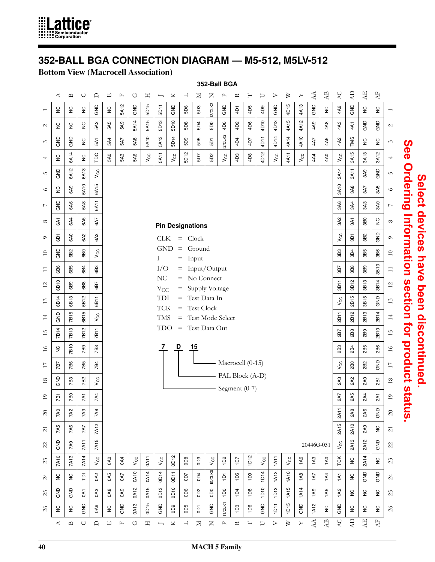

# **352-BALL BGA CONNECTION DIAGRAM — M5-512, M5LV-512**

#### **Bottom View (Macrocell Association)**

|                     |                                                |                          |                 |              |               |                 |              |               |                          |             |                        |                         | 352-Ball BGA                          |                  |           |                            |              |                  |                  |                       |            |                        |                 |                |                                                          |                                                |                     |
|---------------------|------------------------------------------------|--------------------------|-----------------|--------------|---------------|-----------------|--------------|---------------|--------------------------|-------------|------------------------|-------------------------|---------------------------------------|------------------|-----------|----------------------------|--------------|------------------|------------------|-----------------------|------------|------------------------|-----------------|----------------|----------------------------------------------------------|------------------------------------------------|---------------------|
|                     | ≺                                              | $\mathbf{u}$             | $\cup$          | $\Box$       | 口             | Щ               | U            | $\mathbbm{1}$ | ∽                        | Χ           | 凵                      | ¤                       | z                                     | $\mathsf{P}$     | $\approx$ | H                          | $\cup$       | ➢                | $\triangleright$ | ≻                     | $\Delta$   | $\mathbf{AB}$          | AC              | $\overline{A}$ | $\mathbf{A}\mathbf{E}$                                   | $\overline{A}$                                 |                     |
|                     | $\stackrel{\textstyle\circ}{\vphantom{\circ}}$ | $\frac{C}{Z}$            | $\frac{C}{Z}$   | GND          | $\frac{C}{Z}$ | 5A12            | GND          | 5D15          | 5D11                     | GND         | 5D6                    | 5D3                     | I3/CLK3                               | GND              | 4D1       | 4D5                        | 4D9          | GND              | Ю<br>4D1         | 4A13                  | GND        | $\mathop{\mathsf{S}}$  | 4A6             | GND            | $\stackrel{\textstyle\circ}{\vphantom{\textstyle\circ}}$ | $\stackrel{\textstyle\circ}{\vphantom{\circ}}$ | 1                   |
| $\mathcal{L}$       | $\stackrel{\textstyle\circ}{\vphantom{\circ}}$ | $\mathop{\mathsf{S}}$    | $\frac{C}{Z}$   | 5A2          | 5A5           | 5A <sub>9</sub> | 5A14         | 5A15          | 5D13                     | 5D10        | 5D8                    | 5D4                     | 5D0                                   | 4D0              | 4D2       | 4D6                        | 4D10         | 4D13             | 4A15             | 4A12                  | 4A9        | 4A8                    | 4A3             | 4A1            | GND                                                      | GND                                            | $\mathcal{L}$       |
| $\epsilon$          | GND                                            | GND                      | $\frac{C}{Z}$   | 5A1          | 5A4           | 5A7             | 5A8          | 5A10          | 5A13                     | 5D14        | 6D9                    | 5D5                     | 5D1                                   | I2/CLK2          | 4D4       | 4D7                        | 4D11         | 4D14             | 4A14             | 4A10                  | 4A7        | 4A5                    | 4A2             | TMS            | $\gtrsim$                                                | $\frac{C}{Z}$                                  | $\mathcal{C}$       |
| 4                   | $\frac{c}{2}$                                  | 6A14                     | $\frac{C}{Z}$   | po           | 5A0           | 5A3             | 5A6          | $V_{\rm CC}$  | 5A11                     | $V_{CC}$    | 5D12                   | 5D7                     | 5D2                                   | $V_{\rm CC}$     | 4D3       | 4D8                        | 4D12         | Vcc              | 4A11             | $V_{\rm CC}$          | 4A4        | 4A0                    | $V_{\text{CC}}$ | 3A15           | 3A13                                                     | 3A12                                           | 4                   |
| rU                  | GND                                            | 6A12                     | 6A13            | $V_{\rm CC}$ |               |                 |              |               |                          |             |                        |                         |                                       |                  |           |                            |              |                  |                  |                       |            |                        | 3A14            | 3A11           | 3A9                                                      | GND                                            | 5                   |
| $\circ$             | $\frac{C}{Z}$                                  | 6A9                      | 6A10            | 6A15         |               |                 |              |               |                          |             |                        |                         |                                       |                  |           |                            |              |                  |                  |                       |            |                        | 3A10            | 3A8            | 3A7                                                      | 3A5                                            | $\circ$             |
| $\overline{ }$      | GND                                            | 6A6                      | 6A8             | 6A11         |               |                 |              |               |                          |             |                        |                         |                                       |                  |           |                            |              |                  |                  |                       |            |                        | 3A6             | 3A4            | 3A3                                                      | 3A0                                            | $\overline{ }$      |
| $\infty$            | 6A1                                            | 6A4                      | 6A5             | 6A7          |               |                 |              |               |                          |             |                        | <b>Pin Designations</b> |                                       |                  |           |                            |              |                  |                  |                       |            |                        | 3A2             | 3A1            | 3B0                                                      | $\frac{C}{Z}$                                  | ${}^{\circ}$        |
| $\circ$             | 6B1                                            | 6A <sub>0</sub>          | 6A2             | 6A3          |               |                 |              |               | <b>CLK</b>               |             | $=$ Clock              |                         |                                       |                  |           |                            |              |                  |                  |                       |            |                        | $V_{\rm CC}$    | 3B1            | 3B2                                                      | GND                                            | $\circ$             |
| $\overline{10}$     | GND                                            | 6B2                      | 6B <sub>0</sub> | $V_{\rm CC}$ |               |                 |              |               | <b>GND</b><br>L          |             | $\qquad \qquad =$<br>= | Ground<br>Input         |                                       |                  |           |                            |              |                  |                  |                       |            |                        | 3B3             | 3B4            | 3B5                                                      | 3B6                                            | $\Xi$               |
| $\Xi$               | 6B6                                            | 6B5                      | 6B4             | 6B3          |               |                 |              |               | I/O                      |             | $=$                    |                         | Input/Output                          |                  |           |                            |              |                  |                  |                       |            |                        | 3B7             | 3B8            | 3B9                                                      | 3B10                                           | $\Xi$               |
| $\overline{c}$      | 6B10                                           | 6B9                      | 6B8             | 6B7          |               |                 |              |               | NC<br>$V_{CC}$           |             | $=$<br>=               |                         | No Connect<br>Supply Voltage          |                  |           |                            |              |                  |                  |                       |            |                        | 3B11            | 3B12           | 3B13                                                     | 3B14                                           | $\overline{\omega}$ |
| 13                  | 6B14                                           | 6B13                     | 6B12            | 6B11         |               |                 |              |               | TDI                      |             | $=$                    |                         | Test Data In                          |                  |           |                            |              |                  |                  |                       |            |                        | $V_{CC}$        | 2B15           | 3B15                                                     | GND                                            | 13                  |
| $\overline{4}$      | GND                                            | 7B15                     | LO<br>681       | $V_{\rm CC}$ |               |                 |              |               | <b>TCK</b><br><b>TMS</b> |             | $=$<br>$=$             |                         | <b>Test Clock</b><br>Test Mode Select |                  |           |                            |              |                  |                  |                       |            |                        | 2B11            | 2B12           | 2B13                                                     | 2B14                                           | $\overline{4}$      |
| 15                  | 7B14                                           | 7B13                     | 7B12            | 7B11         |               |                 |              |               | <b>TDO</b>               |             | $\equiv$               |                         | Test Data Out                         |                  |           |                            |              |                  |                  |                       |            |                        | 287             | 2B8            | 2B9                                                      | 2B10                                           | 15                  |
| $\frac{6}{2}$       | $\frac{c}{2}$                                  | 7B10                     | 7B9             | 7B8          |               |                 |              |               | 7                        | D           |                        | 15                      |                                       |                  |           |                            |              |                  |                  |                       |            |                        | 2B3             | 2B4            | 2B5                                                      | 2B6                                            | $\frac{1}{6}$       |
| $\Box$              | 787                                            | 7B6                      | 7B5             | 7B4          |               |                 |              |               |                          |             |                        |                         |                                       | Macrocell (0-15) |           |                            |              |                  |                  |                       |            |                        | $V_{\rm CC}$    | 2B0            | 282                                                      | GND                                            | $\Box$              |
| 18                  | GND                                            | 7B3                      | <b>7B2</b>      | $V_{\rm CC}$ |               |                 |              |               |                          |             |                        |                         |                                       | PAL Block (A-D)  |           |                            |              |                  |                  |                       |            |                        | 2A3             | 2A2            | 2A0                                                      | 281                                            | $18\,$              |
| $\overline{1}$      | ă                                              | Θ                        | <b>LK</b>       | 7A4          |               |                 |              |               |                          |             |                        |                         |                                       | Segment $(0-7)$  |           |                            |              |                  |                  |                       |            |                        | 2A7             | 2A5            | 2A4                                                      | 2A1                                            | $\overline{1}$      |
| $\infty$            | 7A0                                            | 7A2                      | 7A3             | 7A8          |               |                 |              |               |                          |             |                        |                         |                                       |                  |           |                            |              |                  |                  |                       |            |                        | 2A11            | 2A8            | 2A6                                                      | GND                                            | $\infty$            |
| $\overline{\omega}$ | 7A5                                            | 7A6                      | 7A7             | 7A12         |               |                 |              |               |                          |             |                        |                         |                                       |                  |           |                            |              |                  |                  |                       |            |                        | 2A15            | 2A10           | 2A9                                                      | $\stackrel{\textstyle\circ}{\vphantom{\circ}}$ | $\overline{z}$      |
| 22                  | GND                                            | 7A9                      | 7A11            | 7A15         |               |                 |              |               |                          |             |                        |                         |                                       |                  |           |                            |              |                  |                  |                       | 20446G-031 |                        | $V_{\rm CC}$    | 2A13           | 2A12                                                     | GND                                            | $\mathcal{Z}$       |
| 23                  | 7A10                                           | 7A13                     | 7A14            | $V_{\rm CC}$ | 0A0           | 0A4             | $V_{\rm CC}$ | 0A11          | $V_{CC}$                 | 0D12        | <b>8Q0</b>             | OD3                     | $V_{\rm CC}$                          | 1D2              | 107       | $\boldsymbol{\alpha}$<br>ē | $V_{\rm CC}$ | 11A11            | $V_{\rm CC}$     | 1A6                   | 1A3        | 1A0                    | TCK             | $\gtrsim$      | 2A14                                                     | $\gtrsim$                                      | $23$                |
| $\overline{z}$      | $\gtrsim$                                      | $\frac{0}{2}$            | $\overline{P}$  | <b>OA2</b>   | 0A5           | <b>DA7</b>      | 0A10         | 0A14          | 4<br>$\ddot{\mathsf{q}}$ | 0D11        | 2Q0                    | OD4                     | IO/CLKO                               | ë                | 1D5       | 109                        | 4<br>ć       | 1A13             | 1A10             | <b>1A8</b>            | 1A7        | <b>1A4</b>             | $\overline{A}$  | $\frac{C}{Z}$  | GND                                                      | GND                                            | $\overline{c}$      |
| 25                  | GND                                            | GND                      | GA <sub>1</sub> | OA3          | <b>OA8</b>    | OA <sub>9</sub> | 0A12         | 0A15          | 0D13                     | <b>ODTO</b> | OD6                    | 0D <sub>2</sub>         | ODO                                   | 100              | 1D4       | 1D8                        | 1D10         | 1D <sub>13</sub> | 1A15             | 1A14                  | 1A9        | 1A5                    | <b>1A2</b>      | $\frac{0}{2}$  | $\stackrel{\textstyle\circ}{\vphantom{\textstyle\circ}}$ | $\gtrsim$                                      | 25                  |
| $\gtrsim$           | $\gtrsim$                                      | $\frac{C}{Z}$            | GND             | <b>OA6</b>   | $\frac{0}{2}$ | GND             | 0A13         | <b>OD15</b>   | GND                      | eao         | OD5                    | GO                      | GND                                   | <b>IT/CLK1</b>   | 1D3       | 1D6                        | GND          | 1DT1             | 1D <sub>15</sub> | GND                   | 1A12       | š                      | GND             | $\frac{C}{Z}$  | $\mathop{\mathsf{S}}$                                    | $\gtrsim$                                      | $\gtrsim$           |
|                     | ≺                                              | $\mathbf{\underline{m}}$ | $\cup$          | $\Box$       | 凹             | $\mathbb{L}$    | O            | Η             | $\qquad \qquad$          | Χ           | 니                      | Σ                       | Z                                     | $\mathbf{r}$     | ≃         | $\vdash$                   | $\cup$       | ⊳                | $\geq$           | $\blacktriangleright$ | $\Delta$   | $\mathbf{A}\mathbf{B}$ | AC              | Ę              | $\overline{A}$                                           | Æ                                              |                     |
|                     |                                                |                          |                 |              |               |                 |              |               |                          |             |                        |                         |                                       |                  |           |                            |              |                  |                  |                       |            |                        |                 |                |                                                          |                                                |                     |

# See Ordering Information section for product status. **See Ordering Information section for product status.**Select devices have been discontinued. **Select devices have been discontinued.**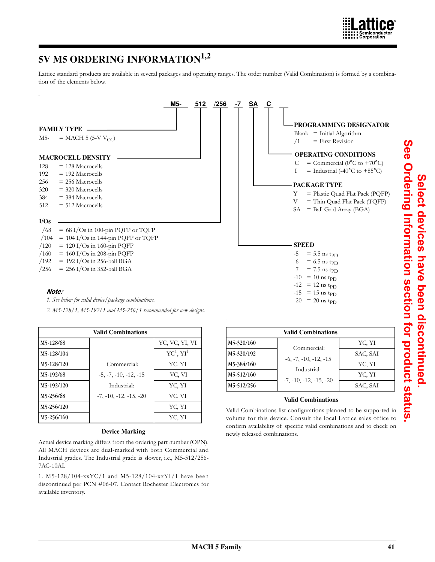

# **5V M5 ORDERING INFORMATION1,2**

.

Lattice standard products are available in several packages and operating ranges. The order number (Valid Combination) is formed by a combination of the elements below.



*1. See below for valid device/package combinations.*

*2. M5-128/1, M5-192/1 and M5-256/1 recommended for new designs.*

|            | <b>Valid Combinations</b> |                                   |
|------------|---------------------------|-----------------------------------|
| M5-128/68  |                           | YC, VC, YI, VI                    |
| M5-128/104 |                           | $\mathrm{YC}^1$ , $\mathrm{YI}^1$ |
| M5-128/120 | Commercial:               | YC, YI                            |
| M5-192/68  | $-5, -7, -10, -12, -15$   | VC, VI                            |
| M5-192/120 | Industrial:               | YC, YI                            |
| M5-256/68  | $-7, -10, -12, -15, -20$  | VC, VI                            |
| M5-256/120 |                           | YC, YI                            |
| M5-256/160 |                           | YC, YI                            |

#### **Device Marking**

Actual device marking differs from the ordering part number (OPN). All MACH devices are dual-marked with both Commercial and Industrial grades. The Industrial grade is slower, i.e., M5-512/256- 7AC-10AI.

1. M5-128/104-xxYC/1 and M5-128/104-xxYI/1 have been discontinued per PCN #06-07. Contact Rochester Electronics for available inventory.

|            | <b>Valid Combinations</b> |          |
|------------|---------------------------|----------|
| M5-320/160 | Commercial:               | YC, YI   |
| M5-320/192 | $-6, -7, -10, -12, -15$   | SAC, SAI |
| M5-384/160 | Industrial:               | YC, YI   |
| M5-512/160 | $-7, -10, -12, -15, -20$  | YC, YI   |
| M5-512/256 |                           | SAC, SAI |

#### **Valid Combinations**

Valid Combinations list configurations planned to be supported in volume for this device. Consult the local Lattice sales office to confirm availability of specific valid combinations and to check on newly released combinations.